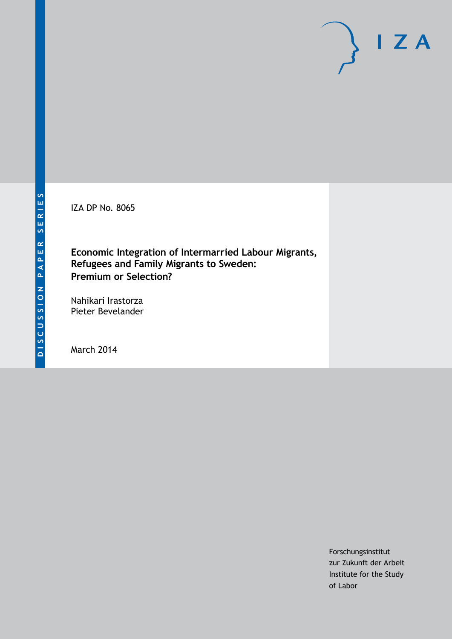IZA DP No. 8065

**Economic Integration of Intermarried Labour Migrants, Refugees and Family Migrants to Sweden: Premium or Selection?**

Nahikari Irastorza Pieter Bevelander

March 2014

Forschungsinstitut zur Zukunft der Arbeit Institute for the Study of Labor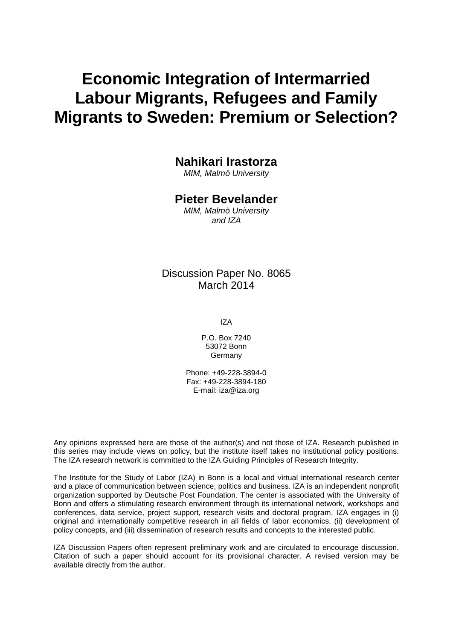# **Economic Integration of Intermarried Labour Migrants, Refugees and Family Migrants to Sweden: Premium or Selection?**

## **Nahikari Irastorza**

*MIM, Malmö University*

## **Pieter Bevelander**

*MIM, Malmö University and IZA*

## Discussion Paper No. 8065 March 2014

IZA

P.O. Box 7240 53072 Bonn Germany

Phone: +49-228-3894-0 Fax: +49-228-3894-180 E-mail: [iza@iza.org](mailto:iza@iza.org)

Any opinions expressed here are those of the author(s) and not those of IZA. Research published in this series may include views on policy, but the institute itself takes no institutional policy positions. The IZA research network is committed to the IZA Guiding Principles of Research Integrity.

The Institute for the Study of Labor (IZA) in Bonn is a local and virtual international research center and a place of communication between science, politics and business. IZA is an independent nonprofit organization supported by Deutsche Post Foundation. The center is associated with the University of Bonn and offers a stimulating research environment through its international network, workshops and conferences, data service, project support, research visits and doctoral program. IZA engages in (i) original and internationally competitive research in all fields of labor economics, (ii) development of policy concepts, and (iii) dissemination of research results and concepts to the interested public.

IZA Discussion Papers often represent preliminary work and are circulated to encourage discussion. Citation of such a paper should account for its provisional character. A revised version may be available directly from the author.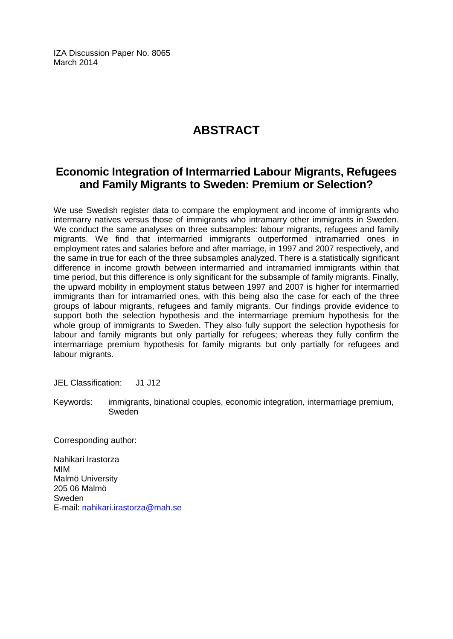IZA Discussion Paper No. 8065 March 2014

## **ABSTRACT**

## **Economic Integration of Intermarried Labour Migrants, Refugees and Family Migrants to Sweden: Premium or Selection?**

We use Swedish register data to compare the employment and income of immigrants who intermarry natives versus those of immigrants who intramarry other immigrants in Sweden. We conduct the same analyses on three subsamples: labour migrants, refugees and family migrants. We find that intermarried immigrants outperformed intramarried ones in employment rates and salaries before and after marriage, in 1997 and 2007 respectively, and the same in true for each of the three subsamples analyzed. There is a statistically significant difference in income growth between intermarried and intramarried immigrants within that time period, but this difference is only significant for the subsample of family migrants. Finally, the upward mobility in employment status between 1997 and 2007 is higher for intermarried immigrants than for intramarried ones, with this being also the case for each of the three groups of labour migrants, refugees and family migrants. Our findings provide evidence to support both the selection hypothesis and the intermarriage premium hypothesis for the whole group of immigrants to Sweden. They also fully support the selection hypothesis for labour and family migrants but only partially for refugees; whereas they fully confirm the intermarriage premium hypothesis for family migrants but only partially for refugees and labour migrants.

JEL Classification: J1 J12

Keywords: immigrants, binational couples, economic integration, intermarriage premium, Sweden

Corresponding author:

Nahikari Irastorza MIM Malmö University 205 06 Malmö Sweden E-mail: [nahikari.irastorza@mah.se](mailto:nahikari.irastorza@mah.se)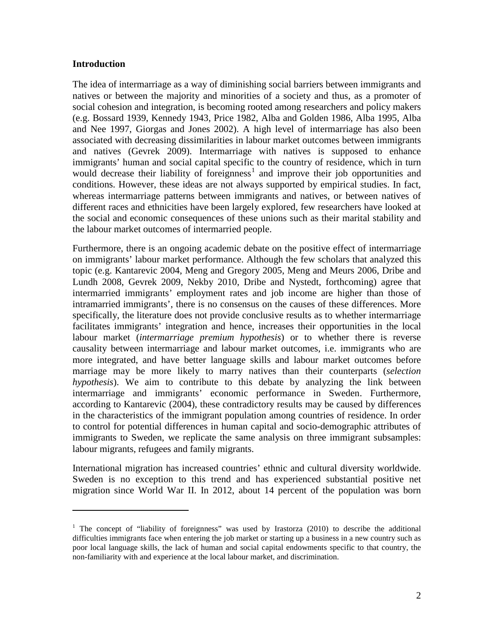## **Introduction**

<span id="page-3-0"></span>l

The idea of intermarriage as a way of diminishing social barriers between immigrants and natives or between the majority and minorities of a society and thus, as a promoter of social cohesion and integration, is becoming rooted among researchers and policy makers (e.g. Bossard 1939, Kennedy 1943, Price 1982, Alba and Golden 1986, Alba 1995, Alba and Nee 1997, Giorgas and Jones 2002). A high level of intermarriage has also been associated with decreasing dissimilarities in labour market outcomes between immigrants and natives (Gevrek 2009). Intermarriage with natives is supposed to enhance immigrants' human and social capital specific to the country of residence, which in turn would decrease their liability of foreignness<sup>1</sup> and improve their job opportunities and conditions. However, these ideas are not always supported by empirical studies. In fact, whereas intermarriage patterns between immigrants and natives, or between natives of different races and ethnicities have been largely explored, few researchers have looked at the social and economic consequences of these unions such as their marital stability and the labour market outcomes of intermarried people.

Furthermore, there is an ongoing academic debate on the positive effect of intermarriage on immigrants' labour market performance. Although the few scholars that analyzed this topic (e.g. Kantarevic 2004, Meng and Gregory 2005, Meng and Meurs 2006, Dribe and Lundh 2008, Gevrek 2009, Nekby 2010, Dribe and Nystedt, forthcoming) agree that intermarried immigrants' employment rates and job income are higher than those of intramarried immigrants', there is no consensus on the causes of these differences. More specifically, the literature does not provide conclusive results as to whether intermarriage facilitates immigrants' integration and hence, increases their opportunities in the local labour market (*intermarriage premium hypothesis*) or to whether there is reverse causality between intermarriage and labour market outcomes, i.e. immigrants who are more integrated, and have better language skills and labour market outcomes before marriage may be more likely to marry natives than their counterparts (*selection hypothesis*). We aim to contribute to this debate by analyzing the link between intermarriage and immigrants' economic performance in Sweden. Furthermore, according to Kantarevic (2004), these contradictory results may be caused by differences in the characteristics of the immigrant population among countries of residence. In order to control for potential differences in human capital and socio-demographic attributes of immigrants to Sweden, we replicate the same analysis on three immigrant subsamples: labour migrants, refugees and family migrants.

International migration has increased countries' ethnic and cultural diversity worldwide. Sweden is no exception to this trend and has experienced substantial positive net migration since World War II. In 2012, about 14 percent of the population was born

<sup>&</sup>lt;sup>1</sup> The concept of "liability of foreignness" was used by Irastorza (2010) to describe the additional difficulties immigrants face when entering the job market or starting up a business in a new country such as poor local language skills, the lack of human and social capital endowments specific to that country, the non-familiarity with and experience at the local labour market, and discrimination.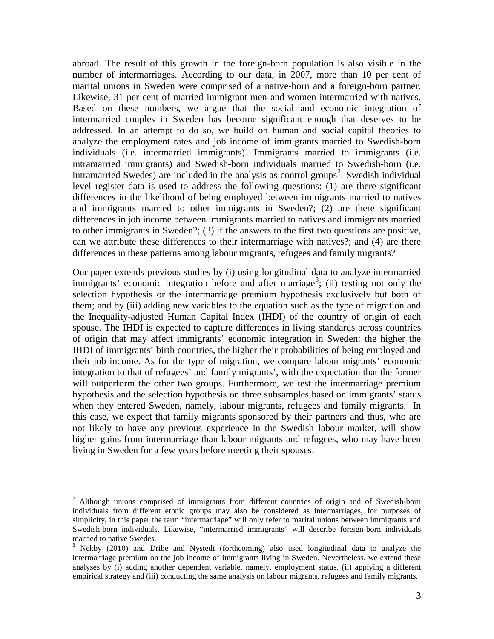abroad. The result of this growth in the foreign-born population is also visible in the number of intermarriages. According to our data, in 2007, more than 10 per cent of marital unions in Sweden were comprised of a native-born and a foreign-born partner. Likewise, 31 per cent of married immigrant men and women intermarried with natives. Based on these numbers, we argue that the social and economic integration of intermarried couples in Sweden has become significant enough that deserves to be addressed. In an attempt to do so, we build on human and social capital theories to analyze the employment rates and job income of immigrants married to Swedish-born individuals (i.e. intermarried immigrants). Immigrants married to immigrants (i.e. intramarried immigrants) and Swedish-born individuals married to Swedish-born (i.e. intramarried Swedes) are included in the analysis as control groups<sup>[2](#page-3-0)</sup>. Swedish individual level register data is used to address the following questions: (1) are there significant differences in the likelihood of being employed between immigrants married to natives and immigrants married to other immigrants in Sweden?; (2) are there significant differences in job income between immigrants married to natives and immigrants married to other immigrants in Sweden?; (3) if the answers to the first two questions are positive, can we attribute these differences to their intermarriage with natives?; and (4) are there differences in these patterns among labour migrants, refugees and family migrants?

Our paper extends previous studies by (i) using longitudinal data to analyze intermarried immigrants' economic integration before and after marriage<sup>[3](#page-4-0)</sup>; (ii) testing not only the selection hypothesis or the intermarriage premium hypothesis exclusively but both of them; and by (iii) adding new variables to the equation such as the type of migration and the Inequality-adjusted Human Capital Index (IHDI) of the country of origin of each spouse. The IHDI is expected to capture differences in living standards across countries of origin that may affect immigrants' economic integration in Sweden: the higher the IHDI of immigrants' birth countries, the higher their probabilities of being employed and their job income. As for the type of migration, we compare labour migrants' economic integration to that of refugees' and family migrants', with the expectation that the former will outperform the other two groups. Furthermore, we test the intermarriage premium hypothesis and the selection hypothesis on three subsamples based on immigrants' status when they entered Sweden, namely, labour migrants, refugees and family migrants. In this case, we expect that family migrants sponsored by their partners and thus, who are not likely to have any previous experience in the Swedish labour market, will show higher gains from intermarriage than labour migrants and refugees, who may have been living in Sweden for a few years before meeting their spouses.

l

<sup>&</sup>lt;sup>2</sup> Although unions comprised of immigrants from different countries of origin and of Swedish-born individuals from different ethnic groups may also be considered as intermarriages, for purposes of simplicity, in this paper the term "intermarriage" will only refer to marital unions between immigrants and Swedish-born individuals. Likewise, "intermarried immigrants" will describe foreign-born individuals married to native Swedes.

<span id="page-4-1"></span><span id="page-4-0"></span><sup>&</sup>lt;sup>3</sup> Nekby (2010) and Dribe and Nystedt (forthcoming) also used longitudinal data to analyze the intermarriage premium on the job income of immigrants living in Sweden. Nevertheless, we extend these analyses by (i) adding another dependent variable, namely, employment status, (ii) applying a different empirical strategy and (iii) conducting the same analysis on labour migrants, refugees and family migrants.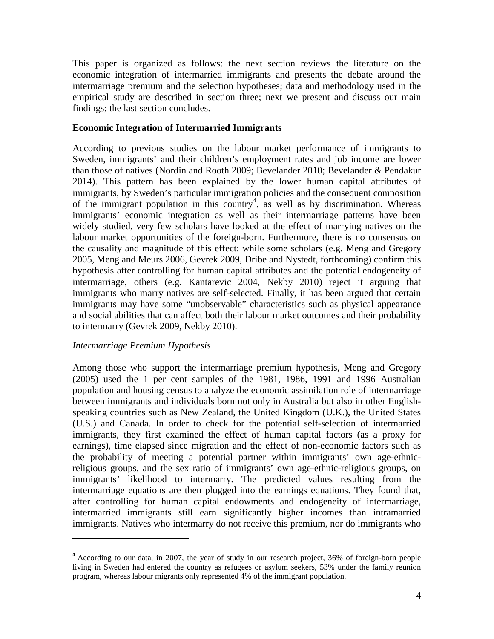This paper is organized as follows: the next section reviews the literature on the economic integration of intermarried immigrants and presents the debate around the intermarriage premium and the selection hypotheses; data and methodology used in the empirical study are described in section three; next we present and discuss our main findings; the last section concludes.

## **Economic Integration of Intermarried Immigrants**

According to previous studies on the labour market performance of immigrants to Sweden, immigrants' and their children's employment rates and job income are lower than those of natives (Nordin and Rooth 2009; Bevelander 2010; Bevelander & Pendakur 2014). This pattern has been explained by the lower human capital attributes of immigrants, by Sweden's particular immigration policies and the consequent composition of the immigrant population in this country<sup>[4](#page-4-1)</sup>, as well as by discrimination. Whereas immigrants' economic integration as well as their intermarriage patterns have been widely studied, very few scholars have looked at the effect of marrying natives on the labour market opportunities of the foreign-born. Furthermore, there is no consensus on the causality and magnitude of this effect: while some scholars (e.g. Meng and Gregory 2005, Meng and Meurs 2006, Gevrek 2009, Dribe and Nystedt, forthcoming) confirm this hypothesis after controlling for human capital attributes and the potential endogeneity of intermarriage, others (e.g. Kantarevic 2004, Nekby 2010) reject it arguing that immigrants who marry natives are self-selected. Finally, it has been argued that certain immigrants may have some "unobservable" characteristics such as physical appearance and social abilities that can affect both their labour market outcomes and their probability to intermarry (Gevrek 2009, Nekby 2010).

## *Intermarriage Premium Hypothesis*

l

Among those who support the intermarriage premium hypothesis, Meng and Gregory (2005) used the 1 per cent samples of the 1981, 1986, 1991 and 1996 Australian population and housing census to analyze the economic assimilation role of intermarriage between immigrants and individuals born not only in Australia but also in other Englishspeaking countries such as New Zealand, the United Kingdom (U.K.), the United States (U.S.) and Canada. In order to check for the potential self-selection of intermarried immigrants, they first examined the effect of human capital factors (as a proxy for earnings), time elapsed since migration and the effect of non-economic factors such as the probability of meeting a potential partner within immigrants' own age-ethnicreligious groups, and the sex ratio of immigrants' own age-ethnic-religious groups, on immigrants' likelihood to intermarry. The predicted values resulting from the intermarriage equations are then plugged into the earnings equations. They found that, after controlling for human capital endowments and endogeneity of intermarriage, intermarried immigrants still earn significantly higher incomes than intramarried immigrants. Natives who intermarry do not receive this premium, nor do immigrants who

<span id="page-5-0"></span><sup>&</sup>lt;sup>4</sup> According to our data, in 2007, the year of study in our research project, 36% of foreign-born people living in Sweden had entered the country as refugees or asylum seekers, 53% under the family reunion program, whereas labour migrants only represented 4% of the immigrant population.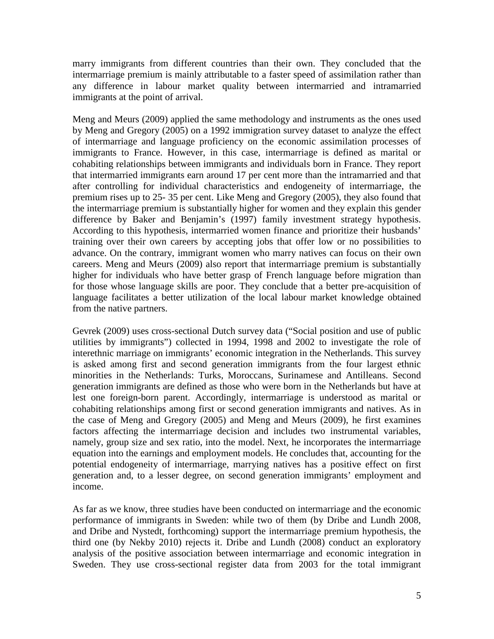marry immigrants from different countries than their own. They concluded that the intermarriage premium is mainly attributable to a faster speed of assimilation rather than any difference in labour market quality between intermarried and intramarried immigrants at the point of arrival.

Meng and Meurs (2009) applied the same methodology and instruments as the ones used by Meng and Gregory (2005) on a 1992 immigration survey dataset to analyze the effect of intermarriage and language proficiency on the economic assimilation processes of immigrants to France. However, in this case, intermarriage is defined as marital or cohabiting relationships between immigrants and individuals born in France. They report that intermarried immigrants earn around 17 per cent more than the intramarried and that after controlling for individual characteristics and endogeneity of intermarriage, the premium rises up to 25- 35 per cent. Like Meng and Gregory (2005), they also found that the intermarriage premium is substantially higher for women and they explain this gender difference by Baker and Benjamin's (1997) family investment strategy hypothesis. According to this hypothesis, intermarried women finance and prioritize their husbands' training over their own careers by accepting jobs that offer low or no possibilities to advance. On the contrary, immigrant women who marry natives can focus on their own careers. Meng and Meurs (2009) also report that intermarriage premium is substantially higher for individuals who have better grasp of French language before migration than for those whose language skills are poor. They conclude that a better pre-acquisition of language facilitates a better utilization of the local labour market knowledge obtained from the native partners.

Gevrek (2009) uses cross-sectional Dutch survey data ("Social position and use of public utilities by immigrants") collected in 1994, 1998 and 2002 to investigate the role of interethnic marriage on immigrants' economic integration in the Netherlands. This survey is asked among first and second generation immigrants from the four largest ethnic minorities in the Netherlands: Turks, Moroccans, Surinamese and Antilleans. Second generation immigrants are defined as those who were born in the Netherlands but have at lest one foreign-born parent. Accordingly, intermarriage is understood as marital or cohabiting relationships among first or second generation immigrants and natives. As in the case of Meng and Gregory (2005) and Meng and Meurs (2009), he first examines factors affecting the intermarriage decision and includes two instrumental variables, namely, group size and sex ratio, into the model. Next, he incorporates the intermarriage equation into the earnings and employment models. He concludes that, accounting for the potential endogeneity of intermarriage, marrying natives has a positive effect on first generation and, to a lesser degree, on second generation immigrants' employment and income.

As far as we know, three studies have been conducted on intermarriage and the economic performance of immigrants in Sweden: while two of them (by Dribe and Lundh 2008, and Dribe and Nystedt, forthcoming) support the intermarriage premium hypothesis, the third one (by Nekby 2010) rejects it. Dribe and Lundh (2008) conduct an exploratory analysis of the positive association between intermarriage and economic integration in Sweden. They use cross-sectional register data from 2003 for the total immigrant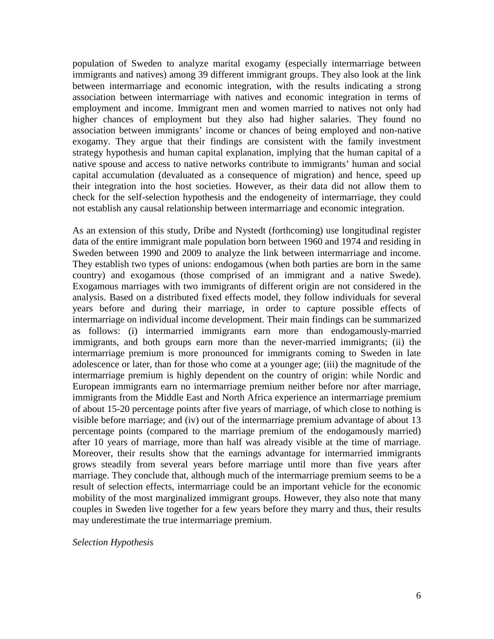population of Sweden to analyze marital exogamy (especially intermarriage between immigrants and natives) among 39 different immigrant groups. They also look at the link between intermarriage and economic integration, with the results indicating a strong association between intermarriage with natives and economic integration in terms of employment and income. Immigrant men and women married to natives not only had higher chances of employment but they also had higher salaries. They found no association between immigrants' income or chances of being employed and non-native exogamy. They argue that their findings are consistent with the family investment strategy hypothesis and human capital explanation, implying that the human capital of a native spouse and access to native networks contribute to immigrants' human and social capital accumulation (devaluated as a consequence of migration) and hence, speed up their integration into the host societies. However, as their data did not allow them to check for the self-selection hypothesis and the endogeneity of intermarriage, they could not establish any causal relationship between intermarriage and economic integration.

As an extension of this study, Dribe and Nystedt (forthcoming) use longitudinal register data of the entire immigrant male population born between 1960 and 1974 and residing in Sweden between 1990 and 2009 to analyze the link between intermarriage and income. They establish two types of unions: endogamous (when both parties are born in the same country) and exogamous (those comprised of an immigrant and a native Swede). Exogamous marriages with two immigrants of different origin are not considered in the analysis. Based on a distributed fixed effects model, they follow individuals for several years before and during their marriage, in order to capture possible effects of intermarriage on individual income development. Their main findings can be summarized as follows: (i) intermarried immigrants earn more than endogamously-married immigrants, and both groups earn more than the never-married immigrants; (ii) the intermarriage premium is more pronounced for immigrants coming to Sweden in late adolescence or later, than for those who come at a younger age; (iii) the magnitude of the intermarriage premium is highly dependent on the country of origin: while Nordic and European immigrants earn no intermarriage premium neither before nor after marriage, immigrants from the Middle East and North Africa experience an intermarriage premium of about 15-20 percentage points after five years of marriage, of which close to nothing is visible before marriage; and (iv) out of the intermarriage premium advantage of about 13 percentage points (compared to the marriage premium of the endogamously married) after 10 years of marriage, more than half was already visible at the time of marriage. Moreover, their results show that the earnings advantage for intermarried immigrants grows steadily from several years before marriage until more than five years after marriage. They conclude that, although much of the intermarriage premium seems to be a result of selection effects, intermarriage could be an important vehicle for the economic mobility of the most marginalized immigrant groups. However, they also note that many couples in Sweden live together for a few years before they marry and thus, their results may underestimate the true intermarriage premium.

#### *Selection Hypothesis*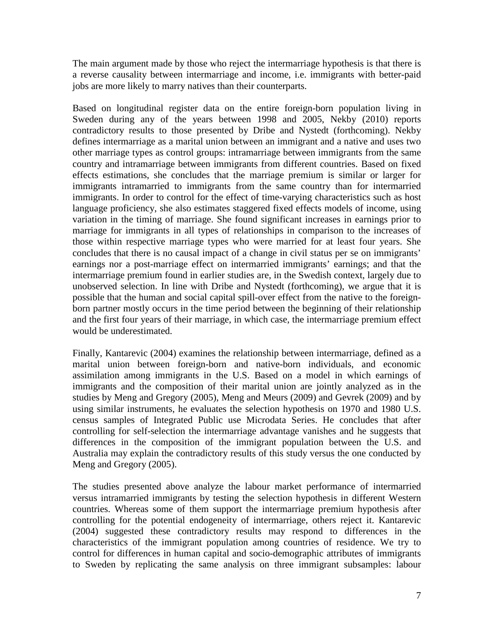The main argument made by those who reject the intermarriage hypothesis is that there is a reverse causality between intermarriage and income, i.e. immigrants with better-paid jobs are more likely to marry natives than their counterparts.

Based on longitudinal register data on the entire foreign-born population living in Sweden during any of the years between 1998 and 2005, Nekby (2010) reports contradictory results to those presented by Dribe and Nystedt (forthcoming). Nekby defines intermarriage as a marital union between an immigrant and a native and uses two other marriage types as control groups: intramarriage between immigrants from the same country and intramarriage between immigrants from different countries. Based on fixed effects estimations, she concludes that the marriage premium is similar or larger for immigrants intramarried to immigrants from the same country than for intermarried immigrants. In order to control for the effect of time-varying characteristics such as host language proficiency, she also estimates staggered fixed effects models of income, using variation in the timing of marriage. She found significant increases in earnings prior to marriage for immigrants in all types of relationships in comparison to the increases of those within respective marriage types who were married for at least four years. She concludes that there is no causal impact of a change in civil status per se on immigrants' earnings nor a post-marriage effect on intermarried immigrants' earnings; and that the intermarriage premium found in earlier studies are, in the Swedish context, largely due to unobserved selection. In line with Dribe and Nystedt (forthcoming), we argue that it is possible that the human and social capital spill-over effect from the native to the foreignborn partner mostly occurs in the time period between the beginning of their relationship and the first four years of their marriage, in which case, the intermarriage premium effect would be underestimated.

Finally, Kantarevic (2004) examines the relationship between intermarriage, defined as a marital union between foreign-born and native-born individuals, and economic assimilation among immigrants in the U.S. Based on a model in which earnings of immigrants and the composition of their marital union are jointly analyzed as in the studies by Meng and Gregory (2005), Meng and Meurs (2009) and Gevrek (2009) and by using similar instruments, he evaluates the selection hypothesis on 1970 and 1980 U.S. census samples of Integrated Public use Microdata Series. He concludes that after controlling for self-selection the intermarriage advantage vanishes and he suggests that differences in the composition of the immigrant population between the U.S. and Australia may explain the contradictory results of this study versus the one conducted by Meng and Gregory (2005).

The studies presented above analyze the labour market performance of intermarried versus intramarried immigrants by testing the selection hypothesis in different Western countries. Whereas some of them support the intermarriage premium hypothesis after controlling for the potential endogeneity of intermarriage, others reject it. Kantarevic (2004) suggested these contradictory results may respond to differences in the characteristics of the immigrant population among countries of residence. We try to control for differences in human capital and socio-demographic attributes of immigrants to Sweden by replicating the same analysis on three immigrant subsamples: labour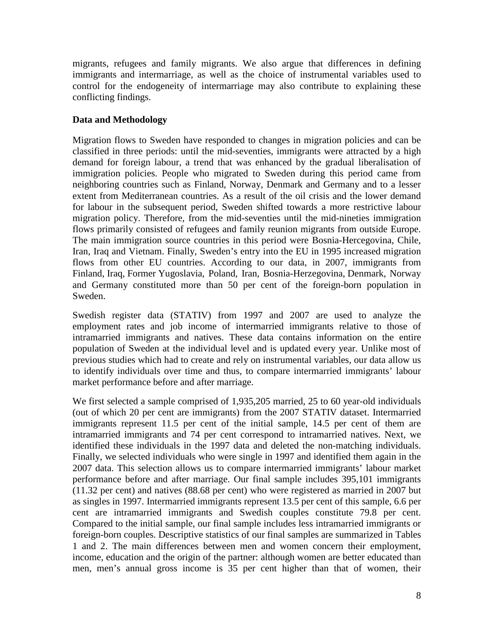migrants, refugees and family migrants. We also argue that differences in defining immigrants and intermarriage, as well as the choice of instrumental variables used to control for the endogeneity of intermarriage may also contribute to explaining these conflicting findings.

## **Data and Methodology**

Migration flows to Sweden have responded to changes in migration policies and can be classified in three periods: until the mid-seventies, immigrants were attracted by a high demand for foreign labour, a trend that was enhanced by the gradual liberalisation of immigration policies. People who migrated to Sweden during this period came from neighboring countries such as Finland, Norway, Denmark and Germany and to a lesser extent from Mediterranean countries. As a result of the oil crisis and the lower demand for labour in the subsequent period, Sweden shifted towards a more restrictive labour migration policy. Therefore, from the mid-seventies until the mid-nineties immigration flows primarily consisted of refugees and family reunion migrants from outside Europe. The main immigration source countries in this period were Bosnia-Hercegovina, Chile, Iran, Iraq and Vietnam. Finally, Sweden's entry into the EU in 1995 increased migration flows from other EU countries. According to our data, in 2007, immigrants from Finland, Iraq, Former Yugoslavia, Poland, Iran, Bosnia-Herzegovina, Denmark, Norway and Germany constituted more than 50 per cent of the foreign-born population in Sweden.

Swedish register data (STATIV) from 1997 and 2007 are used to analyze the employment rates and job income of intermarried immigrants relative to those of intramarried immigrants and natives. These data contains information on the entire population of Sweden at the individual level and is updated every year. Unlike most of previous studies which had to create and rely on instrumental variables, our data allow us to identify individuals over time and thus, to compare intermarried immigrants' labour market performance before and after marriage.

We first selected a sample comprised of 1,935,205 married, 25 to 60 year-old individuals (out of which 20 per cent are immigrants) from the 2007 STATIV dataset. Intermarried immigrants represent 11.5 per cent of the initial sample, 14.5 per cent of them are intramarried immigrants and 74 per cent correspond to intramarried natives. Next, we identified these individuals in the 1997 data and deleted the non-matching individuals. Finally, we selected individuals who were single in 1997 and identified them again in the 2007 data. This selection allows us to compare intermarried immigrants' labour market performance before and after marriage. Our final sample includes 395,101 immigrants (11.32 per cent) and natives (88.68 per cent) who were registered as married in 2007 but as singles in 1997. Intermarried immigrants represent 13.5 per cent of this sample, 6.6 per cent are intramarried immigrants and Swedish couples constitute 79.8 per cent. Compared to the initial sample, our final sample includes less intramarried immigrants or foreign-born couples. Descriptive statistics of our final samples are summarized in Tables 1 and 2. The main differences between men and women concern their employment, income, education and the origin of the partner: although women are better educated than men, men's annual gross income is 35 per cent higher than that of women, their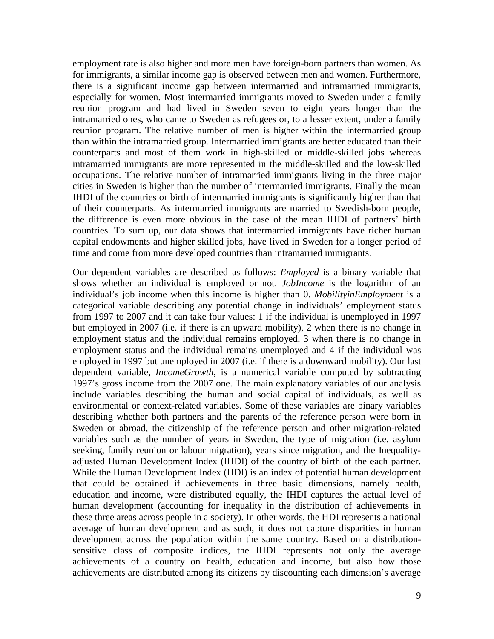employment rate is also higher and more men have foreign-born partners than women. As for immigrants, a similar income gap is observed between men and women. Furthermore, there is a significant income gap between intermarried and intramarried immigrants, especially for women. Most intermarried immigrants moved to Sweden under a family reunion program and had lived in Sweden seven to eight years longer than the intramarried ones, who came to Sweden as refugees or, to a lesser extent, under a family reunion program. The relative number of men is higher within the intermarried group than within the intramarried group. Intermarried immigrants are better educated than their counterparts and most of them work in high-skilled or middle-skilled jobs whereas intramarried immigrants are more represented in the middle-skilled and the low-skilled occupations. The relative number of intramarried immigrants living in the three major cities in Sweden is higher than the number of intermarried immigrants. Finally the mean IHDI of the countries or birth of intermarried immigrants is significantly higher than that of their counterparts. As intermarried immigrants are married to Swedish-born people, the difference is even more obvious in the case of the mean IHDI of partners' birth countries. To sum up, our data shows that intermarried immigrants have richer human capital endowments and higher skilled jobs, have lived in Sweden for a longer period of time and come from more developed countries than intramarried immigrants.

Our dependent variables are described as follows: *Employed* is a binary variable that shows whether an individual is employed or not. *JobIncome* is the logarithm of an individual's job income when this income is higher than 0. *MobilityinEmployment* is a categorical variable describing any potential change in individuals' employment status from 1997 to 2007 and it can take four values: 1 if the individual is unemployed in 1997 but employed in 2007 (i.e. if there is an upward mobility), 2 when there is no change in employment status and the individual remains employed, 3 when there is no change in employment status and the individual remains unemployed and 4 if the individual was employed in 1997 but unemployed in 2007 (i.e. if there is a downward mobility). Our last dependent variable, *IncomeGrowth*, is a numerical variable computed by subtracting 1997's gross income from the 2007 one. The main explanatory variables of our analysis include variables describing the human and social capital of individuals, as well as environmental or context-related variables. Some of these variables are binary variables describing whether both partners and the parents of the reference person were born in Sweden or abroad, the citizenship of the reference person and other migration-related variables such as the number of years in Sweden, the type of migration (i.e. asylum seeking, family reunion or labour migration), years since migration, and the Inequalityadjusted Human Development Index (IHDI) of the country of birth of the each partner. While the Human Development Index (HDI) is an index of potential human development that could be obtained if achievements in three basic dimensions, namely health, education and income, were distributed equally, the IHDI captures the actual level of human development (accounting for inequality in the distribution of achievements in these three areas across people in a society). In other words, the HDI represents a national average of human development and as such, it does not capture disparities in human development across the population within the same country. Based on a distributionsensitive class of composite indices, the IHDI represents not only the average achievements of a country on health, education and income, but also how those achievements are distributed among its citizens by discounting each dimension's average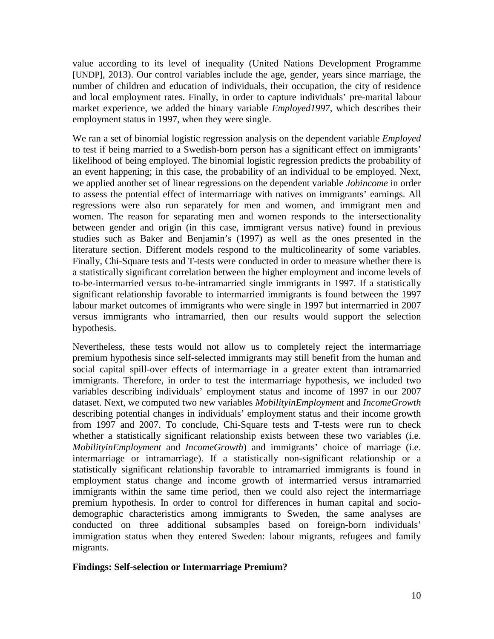value according to its level of inequality (United Nations Development Programme [UNDP], 2013). Our control variables include the age, gender, years since marriage, the number of children and education of individuals, their occupation, the city of residence and local employment rates. Finally, in order to capture individuals' pre-marital labour market experience, we added the binary variable *Employed1997*, which describes their employment status in 1997, when they were single.

We ran a set of binomial logistic regression analysis on the dependent variable *Employed* to test if being married to a Swedish-born person has a significant effect on immigrants' likelihood of being employed. The binomial logistic regression predicts the probability of an event happening; in this case, the probability of an individual to be employed. Next, we applied another set of linear regressions on the dependent variable *Jobincome* in order to assess the potential effect of intermarriage with natives on immigrants' earnings. All regressions were also run separately for men and women, and immigrant men and women. The reason for separating men and women responds to the intersectionality between gender and origin (in this case, immigrant versus native) found in previous studies such as Baker and Benjamin's (1997) as well as the ones presented in the literature section. Different models respond to the multicolinearity of some variables. Finally, Chi-Square tests and T-tests were conducted in order to measure whether there is a statistically significant correlation between the higher employment and income levels of to-be-intermarried versus to-be-intramarried single immigrants in 1997. If a statistically significant relationship favorable to intermarried immigrants is found between the 1997 labour market outcomes of immigrants who were single in 1997 but intermarried in 2007 versus immigrants who intramarried, then our results would support the selection hypothesis.

Nevertheless, these tests would not allow us to completely reject the intermarriage premium hypothesis since self-selected immigrants may still benefit from the human and social capital spill-over effects of intermarriage in a greater extent than intramarried immigrants. Therefore, in order to test the intermarriage hypothesis, we included two variables describing individuals' employment status and income of 1997 in our 2007 dataset. Next, we computed two new variables *MobilityinEmployment* and *IncomeGrowth* describing potential changes in individuals' employment status and their income growth from 1997 and 2007. To conclude, Chi-Square tests and T-tests were run to check whether a statistically significant relationship exists between these two variables (i.e. *MobilityinEmployment* and *IncomeGrowth*) and immigrants' choice of marriage (i.e. intermarriage or intramarriage). If a statistically non-significant relationship or a statistically significant relationship favorable to intramarried immigrants is found in employment status change and income growth of intermarried versus intramarried immigrants within the same time period, then we could also reject the intermarriage premium hypothesis. In order to control for differences in human capital and sociodemographic characteristics among immigrants to Sweden, the same analyses are conducted on three additional subsamples based on foreign-born individuals' immigration status when they entered Sweden: labour migrants, refugees and family migrants.

## **Findings: Self-selection or Intermarriage Premium?**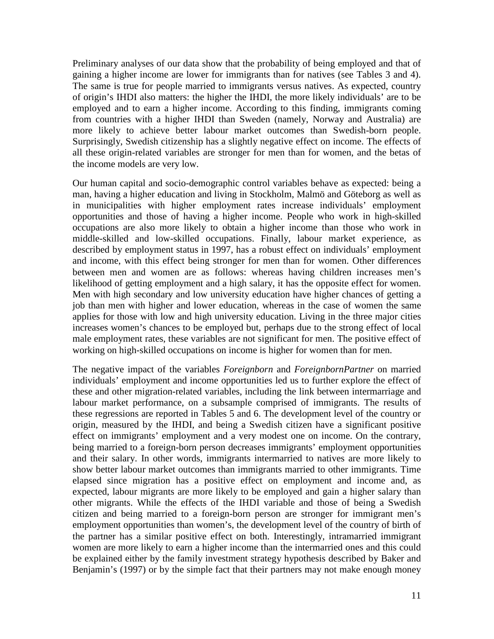Preliminary analyses of our data show that the probability of being employed and that of gaining a higher income are lower for immigrants than for natives (see Tables 3 and 4). The same is true for people married to immigrants versus natives. As expected, country of origin's IHDI also matters: the higher the IHDI, the more likely individuals' are to be employed and to earn a higher income. According to this finding, immigrants coming from countries with a higher IHDI than Sweden (namely, Norway and Australia) are more likely to achieve better labour market outcomes than Swedish-born people. Surprisingly, Swedish citizenship has a slightly negative effect on income. The effects of all these origin-related variables are stronger for men than for women, and the betas of the income models are very low.

Our human capital and socio-demographic control variables behave as expected: being a man, having a higher education and living in Stockholm, Malmö and Göteborg as well as in municipalities with higher employment rates increase individuals' employment opportunities and those of having a higher income. People who work in high-skilled occupations are also more likely to obtain a higher income than those who work in middle-skilled and low-skilled occupations. Finally, labour market experience, as described by employment status in 1997, has a robust effect on individuals' employment and income, with this effect being stronger for men than for women. Other differences between men and women are as follows: whereas having children increases men's likelihood of getting employment and a high salary, it has the opposite effect for women. Men with high secondary and low university education have higher chances of getting a job than men with higher and lower education, whereas in the case of women the same applies for those with low and high university education. Living in the three major cities increases women's chances to be employed but, perhaps due to the strong effect of local male employment rates, these variables are not significant for men. The positive effect of working on high-skilled occupations on income is higher for women than for men.

The negative impact of the variables *Foreignborn* and *ForeignbornPartner* on married individuals' employment and income opportunities led us to further explore the effect of these and other migration-related variables, including the link between intermarriage and labour market performance, on a subsample comprised of immigrants. The results of these regressions are reported in Tables 5 and 6. The development level of the country or origin, measured by the IHDI, and being a Swedish citizen have a significant positive effect on immigrants' employment and a very modest one on income. On the contrary, being married to a foreign-born person decreases immigrants' employment opportunities and their salary. In other words, immigrants intermarried to natives are more likely to show better labour market outcomes than immigrants married to other immigrants. Time elapsed since migration has a positive effect on employment and income and, as expected, labour migrants are more likely to be employed and gain a higher salary than other migrants. While the effects of the IHDI variable and those of being a Swedish citizen and being married to a foreign-born person are stronger for immigrant men's employment opportunities than women's, the development level of the country of birth of the partner has a similar positive effect on both. Interestingly, intramarried immigrant women are more likely to earn a higher income than the intermarried ones and this could be explained either by the family investment strategy hypothesis described by Baker and Benjamin's (1997) or by the simple fact that their partners may not make enough money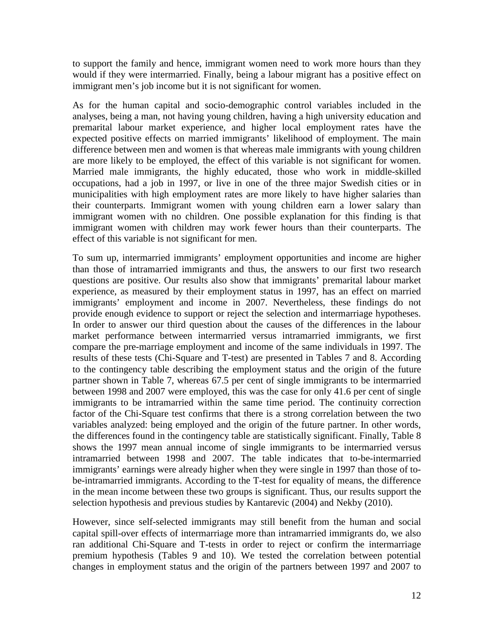to support the family and hence, immigrant women need to work more hours than they would if they were intermarried. Finally, being a labour migrant has a positive effect on immigrant men's job income but it is not significant for women.

As for the human capital and socio-demographic control variables included in the analyses, being a man, not having young children, having a high university education and premarital labour market experience, and higher local employment rates have the expected positive effects on married immigrants' likelihood of employment. The main difference between men and women is that whereas male immigrants with young children are more likely to be employed, the effect of this variable is not significant for women. Married male immigrants, the highly educated, those who work in middle-skilled occupations, had a job in 1997, or live in one of the three major Swedish cities or in municipalities with high employment rates are more likely to have higher salaries than their counterparts. Immigrant women with young children earn a lower salary than immigrant women with no children. One possible explanation for this finding is that immigrant women with children may work fewer hours than their counterparts. The effect of this variable is not significant for men.

To sum up, intermarried immigrants' employment opportunities and income are higher than those of intramarried immigrants and thus, the answers to our first two research questions are positive. Our results also show that immigrants' premarital labour market experience, as measured by their employment status in 1997, has an effect on married immigrants' employment and income in 2007. Nevertheless, these findings do not provide enough evidence to support or reject the selection and intermarriage hypotheses. In order to answer our third question about the causes of the differences in the labour market performance between intermarried versus intramarried immigrants, we first compare the pre-marriage employment and income of the same individuals in 1997. The results of these tests (Chi-Square and T-test) are presented in Tables 7 and 8. According to the contingency table describing the employment status and the origin of the future partner shown in Table 7, whereas 67.5 per cent of single immigrants to be intermarried between 1998 and 2007 were employed, this was the case for only 41.6 per cent of single immigrants to be intramarried within the same time period. The continuity correction factor of the Chi-Square test confirms that there is a strong correlation between the two variables analyzed: being employed and the origin of the future partner. In other words, the differences found in the contingency table are statistically significant. Finally, Table 8 shows the 1997 mean annual income of single immigrants to be intermarried versus intramarried between 1998 and 2007. The table indicates that to-be-intermarried immigrants' earnings were already higher when they were single in 1997 than those of tobe-intramarried immigrants. According to the T-test for equality of means, the difference in the mean income between these two groups is significant. Thus, our results support the selection hypothesis and previous studies by Kantarevic (2004) and Nekby (2010).

However, since self-selected immigrants may still benefit from the human and social capital spill-over effects of intermarriage more than intramarried immigrants do, we also ran additional Chi-Square and T-tests in order to reject or confirm the intermarriage premium hypothesis (Tables 9 and 10). We tested the correlation between potential changes in employment status and the origin of the partners between 1997 and 2007 to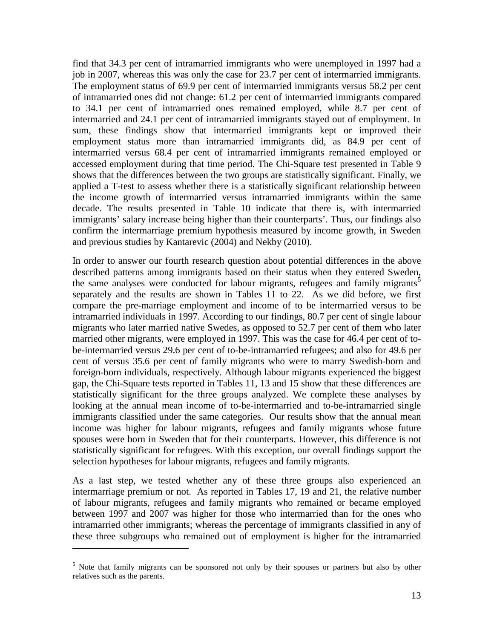find that 34.3 per cent of intramarried immigrants who were unemployed in 1997 had a job in 2007, whereas this was only the case for 23.7 per cent of intermarried immigrants. The employment status of 69.9 per cent of intermarried immigrants versus 58.2 per cent of intramarried ones did not change: 61.2 per cent of intermarried immigrants compared to 34.1 per cent of intramarried ones remained employed, while 8.7 per cent of intermarried and 24.1 per cent of intramarried immigrants stayed out of employment. In sum, these findings show that intermarried immigrants kept or improved their employment status more than intramarried immigrants did, as 84.9 per cent of intermarried versus 68.4 per cent of intramarried immigrants remained employed or accessed employment during that time period. The Chi-Square test presented in Table 9 shows that the differences between the two groups are statistically significant. Finally, we applied a T-test to assess whether there is a statistically significant relationship between the income growth of intermarried versus intramarried immigrants within the same decade. The results presented in Table 10 indicate that there is, with intermarried immigrants' salary increase being higher than their counterparts'. Thus, our findings also confirm the intermarriage premium hypothesis measured by income growth, in Sweden and previous studies by Kantarevic (2004) and Nekby (2010).

In order to answer our fourth research question about potential differences in the above described patterns among immigrants based on their status when they entered Sweden, the same analyses were conducted for labour migrants, refugees and family migrants<sup>[5](#page-5-0)</sup> separately and the results are shown in Tables 11 to 22. As we did before, we first compare the pre-marriage employment and income of to be intermarried versus to be intramarried individuals in 1997. According to our findings, 80.7 per cent of single labour migrants who later married native Swedes, as opposed to 52.7 per cent of them who later married other migrants, were employed in 1997. This was the case for 46.4 per cent of tobe-intermarried versus 29.6 per cent of to-be-intramarried refugees; and also for 49.6 per cent of versus 35.6 per cent of family migrants who were to marry Swedish-born and foreign-born individuals, respectively. Although labour migrants experienced the biggest gap, the Chi-Square tests reported in Tables 11, 13 and 15 show that these differences are statistically significant for the three groups analyzed. We complete these analyses by looking at the annual mean income of to-be-intermarried and to-be-intramarried single immigrants classified under the same categories. Our results show that the annual mean income was higher for labour migrants, refugees and family migrants whose future spouses were born in Sweden that for their counterparts. However, this difference is not statistically significant for refugees. With this exception, our overall findings support the selection hypotheses for labour migrants, refugees and family migrants.

As a last step, we tested whether any of these three groups also experienced an intermarriage premium or not. As reported in Tables 17, 19 and 21, the relative number of labour migrants, refugees and family migrants who remained or became employed between 1997 and 2007 was higher for those who intermarried than for the ones who intramarried other immigrants; whereas the percentage of immigrants classified in any of these three subgroups who remained out of employment is higher for the intramarried

 $\overline{\phantom{a}}$ 

 $5$  Note that family migrants can be sponsored not only by their spouses or partners but also by other relatives such as the parents.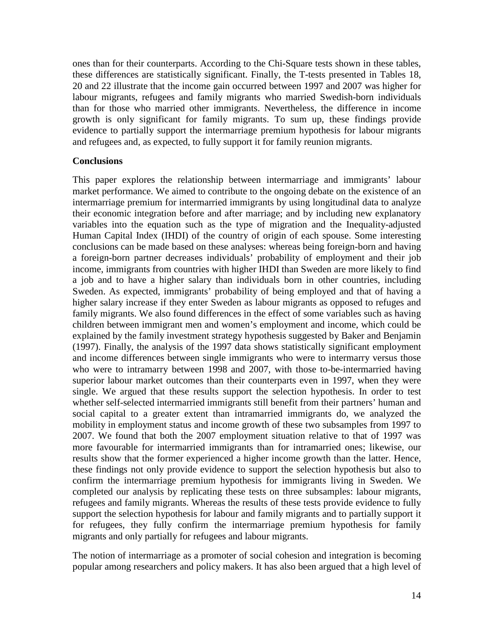ones than for their counterparts. According to the Chi-Square tests shown in these tables, these differences are statistically significant. Finally, the T-tests presented in Tables 18, 20 and 22 illustrate that the income gain occurred between 1997 and 2007 was higher for labour migrants, refugees and family migrants who married Swedish-born individuals than for those who married other immigrants. Nevertheless, the difference in income growth is only significant for family migrants. To sum up, these findings provide evidence to partially support the intermarriage premium hypothesis for labour migrants and refugees and, as expected, to fully support it for family reunion migrants.

## **Conclusions**

This paper explores the relationship between intermarriage and immigrants' labour market performance. We aimed to contribute to the ongoing debate on the existence of an intermarriage premium for intermarried immigrants by using longitudinal data to analyze their economic integration before and after marriage; and by including new explanatory variables into the equation such as the type of migration and the Inequality-adjusted Human Capital Index (IHDI) of the country of origin of each spouse. Some interesting conclusions can be made based on these analyses: whereas being foreign-born and having a foreign-born partner decreases individuals' probability of employment and their job income, immigrants from countries with higher IHDI than Sweden are more likely to find a job and to have a higher salary than individuals born in other countries, including Sweden. As expected, immigrants' probability of being employed and that of having a higher salary increase if they enter Sweden as labour migrants as opposed to refuges and family migrants. We also found differences in the effect of some variables such as having children between immigrant men and women's employment and income, which could be explained by the family investment strategy hypothesis suggested by Baker and Benjamin (1997). Finally, the analysis of the 1997 data shows statistically significant employment and income differences between single immigrants who were to intermarry versus those who were to intramarry between 1998 and 2007, with those to-be-intermarried having superior labour market outcomes than their counterparts even in 1997, when they were single. We argued that these results support the selection hypothesis. In order to test whether self-selected intermarried immigrants still benefit from their partners' human and social capital to a greater extent than intramarried immigrants do, we analyzed the mobility in employment status and income growth of these two subsamples from 1997 to 2007. We found that both the 2007 employment situation relative to that of 1997 was more favourable for intermarried immigrants than for intramarried ones; likewise, our results show that the former experienced a higher income growth than the latter. Hence, these findings not only provide evidence to support the selection hypothesis but also to confirm the intermarriage premium hypothesis for immigrants living in Sweden. We completed our analysis by replicating these tests on three subsamples: labour migrants, refugees and family migrants. Whereas the results of these tests provide evidence to fully support the selection hypothesis for labour and family migrants and to partially support it for refugees, they fully confirm the intermarriage premium hypothesis for family migrants and only partially for refugees and labour migrants.

The notion of intermarriage as a promoter of social cohesion and integration is becoming popular among researchers and policy makers. It has also been argued that a high level of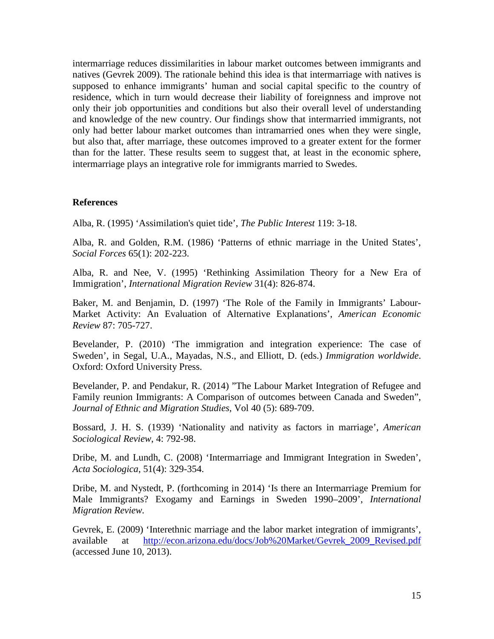intermarriage reduces dissimilarities in labour market outcomes between immigrants and natives (Gevrek 2009). The rationale behind this idea is that intermarriage with natives is supposed to enhance immigrants' human and social capital specific to the country of residence, which in turn would decrease their liability of foreignness and improve not only their job opportunities and conditions but also their overall level of understanding and knowledge of the new country. Our findings show that intermarried immigrants, not only had better labour market outcomes than intramarried ones when they were single, but also that, after marriage, these outcomes improved to a greater extent for the former than for the latter. These results seem to suggest that, at least in the economic sphere, intermarriage plays an integrative role for immigrants married to Swedes.

## **References**

Alba, R. (1995) 'Assimilation's quiet tide', *The Public Interest* 119: 3-18.

Alba, R. and Golden, R.M. (1986) 'Patterns of ethnic marriage in the United States', *Social Forces* 65(1): 202-223.

Alba, R. and Nee, V. (1995) 'Rethinking Assimilation Theory for a New Era of Immigration', *International Migration Review* 31(4): 826-874.

Baker, M. and Benjamin, D. (1997) 'The Role of the Family in Immigrants' Labour-Market Activity: An Evaluation of Alternative Explanations', *American Economic Review* 87: 705-727.

Bevelander, P. (2010) 'The immigration and integration experience: The case of Sweden', in Segal, U.A., Mayadas, N.S., and Elliott, D. (eds.) *Immigration worldwide*. Oxford: Oxford University Press.

Bevelander, P. and Pendakur, R. (2014) "The Labour Market Integration of Refugee and Family reunion Immigrants: A Comparison of outcomes between Canada and Sweden", *Journal of Ethnic and Migration Studies,* Vol 40 (5): 689-709.

Bossard, J. H. S. (1939) 'Nationality and nativity as factors in marriage', *American Sociological Review*, 4: 792-98.

Dribe, M. and Lundh, C. (2008) 'Intermarriage and Immigrant Integration in Sweden', *Acta Sociologica*, 51(4): 329-354.

Dribe, M. and Nystedt, P. (forthcoming in 2014) 'Is there an Intermarriage Premium for Male Immigrants? Exogamy and Earnings in Sweden 1990–2009', *International Migration Review.*

Gevrek, E. (2009) 'Interethnic marriage and the labor market integration of immigrants', available at [http://econ.arizona.edu/docs/Job%20Market/Gevrek\\_2009\\_Revised.pdf](http://econ.arizona.edu/docs/Job%20Market/Gevrek_2009_Revised.pdf) (accessed June 10, 2013).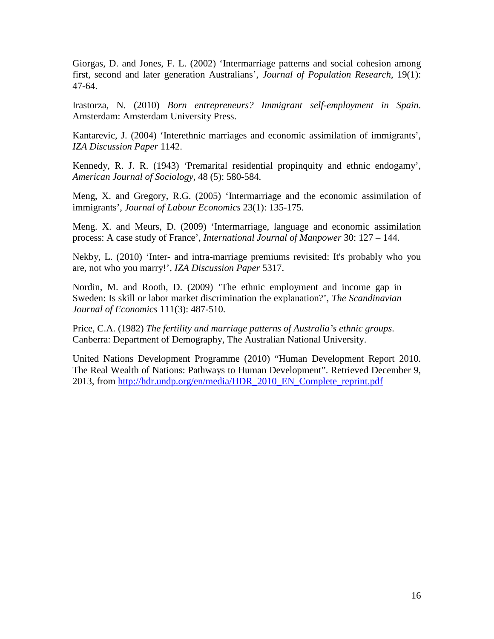Giorgas, D. and Jones, F. L. (2002) 'Intermarriage patterns and social cohesion among first, second and later generation Australians', *Journal of Population Research*, 19(1): 47-64.

Irastorza, N. (2010) *Born entrepreneurs? Immigrant self-employment in Spain*. Amsterdam: Amsterdam University Press.

Kantarevic, J. (2004) 'Interethnic marriages and economic assimilation of immigrants', *[IZA Discussion Paper](http://ideas.repec.org/s/iza/izadps.html)* 1142.

Kennedy, R. J. R. (1943) 'Premarital residential propinquity and ethnic endogamy', *American Journal of Sociology*, 48 (5): 580-584.

Meng, X. and Gregory, R.G. (2005) 'Intermarriage and the economic assimilation of immigrants', *Journal of Labour Economics* 23(1): 135-175.

Meng. X. and Meurs, D. (2009) 'Intermarriage, language and economic assimilation process: A case study of France', *International Journal of Manpower* 30: 127 – 144.

Nekby, L. (2010) 'Inter- [and intra-marriage premiums revisited: It's probably who you](http://ideas.repec.org/p/iza/izadps/dp5317.html)  [are, not who you marry!'](http://ideas.repec.org/p/iza/izadps/dp5317.html), *[IZA Discussion Paper](http://ideas.repec.org/s/iza/izadps.html)* 5317.

Nordin, M. and Rooth, D. (2009) 'The ethnic employment and income gap in Sweden: Is skill or labor market discrimination the explanation?', *The Scandinavian Journal of Economics* 111(3): 487-510.

Price, C.A. (1982) *The fertility and marriage patterns of Australia's ethnic groups*. Canberra: Department of Demography, The Australian National University.

United Nations Development Programme (2010) "Human Development Report 2010. The Real Wealth of Nations: Pathways to Human Development". Retrieved December 9, 2013, from [http://hdr.undp.org/en/media/HDR\\_2010\\_EN\\_Complete\\_reprint.pdf](http://hdr.undp.org/en/media/HDR_2010_EN_Complete_reprint.pdf)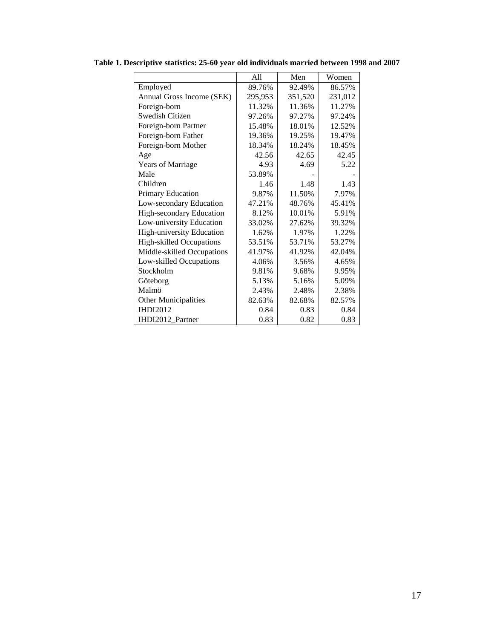|                                  | A11     | Men     | Women   |
|----------------------------------|---------|---------|---------|
| Employed                         | 89.76%  | 92.49%  | 86.57%  |
| Annual Gross Income (SEK)        | 295,953 | 351,520 | 231,012 |
| Foreign-born                     | 11.32%  | 11.36%  | 11.27%  |
| Swedish Citizen                  | 97.26%  | 97.27%  | 97.24%  |
| Foreign-born Partner             | 15.48%  | 18.01%  | 12.52%  |
| Foreign-born Father              | 19.36%  | 19.25%  | 19.47%  |
| Foreign-born Mother              | 18.34%  | 18.24%  | 18.45%  |
| Age                              | 42.56   | 42.65   | 42.45   |
| <b>Years of Marriage</b>         | 4.93    | 4.69    | 5.22    |
| Male                             | 53.89%  |         |         |
| Children                         | 1.46    | 1.48    | 1.43    |
| Primary Education                | 9.87%   | 11.50%  | 7.97%   |
| Low-secondary Education          | 47.21%  | 48.76%  | 45.41%  |
| High-secondary Education         | 8.12%   | 10.01%  | 5.91%   |
| Low-university Education         | 33.02%  | 27.62%  | 39.32%  |
| <b>High-university Education</b> | 1.62%   | 1.97%   | 1.22%   |
| <b>High-skilled Occupations</b>  | 53.51%  | 53.71%  | 53.27%  |
| Middle-skilled Occupations       | 41.97%  | 41.92%  | 42.04%  |
| Low-skilled Occupations          | 4.06%   | 3.56%   | 4.65%   |
| Stockholm                        | 9.81%   | 9.68%   | 9.95%   |
| Göteborg                         | 5.13%   | 5.16%   | 5.09%   |
| Malmö                            | 2.43%   | 2.48%   | 2.38%   |
| <b>Other Municipalities</b>      | 82.63%  | 82.68%  | 82.57%  |
| <b>IHDI2012</b>                  | 0.84    | 0.83    | 0.84    |
| IHDI2012 Partner                 | 0.83    | 0.82    | 0.83    |

**Table 1. Descriptive statistics: 25-60 year old individuals married between 1998 and 2007**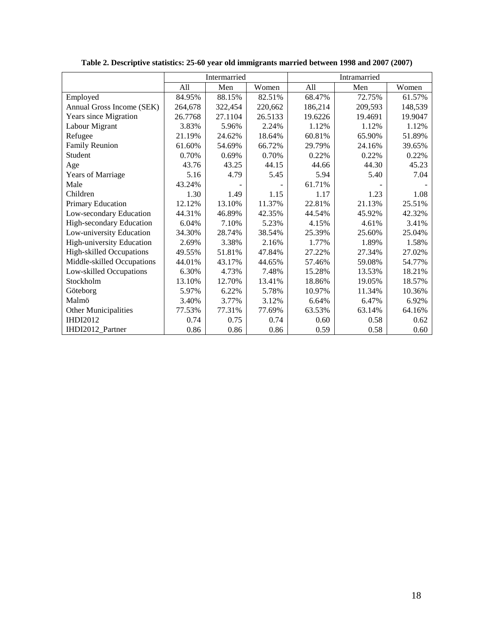|                                 |         | Intermarried |         |         | Intramarried |         |
|---------------------------------|---------|--------------|---------|---------|--------------|---------|
|                                 | A11     | Men          | Women   | All     | Men          | Women   |
| Employed                        | 84.95%  | 88.15%       | 82.51%  | 68.47%  | 72.75%       | 61.57%  |
| Annual Gross Income (SEK)       | 264,678 | 322,454      | 220,662 | 186,214 | 209,593      | 148,539 |
| Years since Migration           | 26.7768 | 27.1104      | 26.5133 | 19.6226 | 19.4691      | 19.9047 |
| Labour Migrant                  | 3.83%   | 5.96%        | 2.24%   | 1.12%   | 1.12%        | 1.12%   |
| Refugee                         | 21.19%  | 24.62%       | 18.64%  | 60.81%  | 65.90%       | 51.89%  |
| Family Reunion                  | 61.60%  | 54.69%       | 66.72%  | 29.79%  | 24.16%       | 39.65%  |
| Student                         | 0.70%   | 0.69%        | 0.70%   | 0.22%   | 0.22%        | 0.22%   |
| Age                             | 43.76   | 43.25        | 44.15   | 44.66   | 44.30        | 45.23   |
| <b>Years of Marriage</b>        | 5.16    | 4.79         | 5.45    | 5.94    | 5.40         | 7.04    |
| Male                            | 43.24%  |              |         | 61.71%  |              |         |
| Children                        | 1.30    | 1.49         | 1.15    | 1.17    | 1.23         | 1.08    |
| Primary Education               | 12.12%  | 13.10%       | 11.37%  | 22.81%  | 21.13%       | 25.51%  |
| Low-secondary Education         | 44.31%  | 46.89%       | 42.35%  | 44.54%  | 45.92%       | 42.32%  |
| High-secondary Education        | 6.04%   | 7.10%        | 5.23%   | 4.15%   | 4.61%        | 3.41%   |
| Low-university Education        | 34.30%  | 28.74%       | 38.54%  | 25.39%  | 25.60%       | 25.04%  |
| High-university Education       | 2.69%   | 3.38%        | 2.16%   | 1.77%   | 1.89%        | 1.58%   |
| <b>High-skilled Occupations</b> | 49.55%  | 51.81%       | 47.84%  | 27.22%  | 27.34%       | 27.02%  |
| Middle-skilled Occupations      | 44.01%  | 43.17%       | 44.65%  | 57.46%  | 59.08%       | 54.77%  |
| Low-skilled Occupations         | 6.30%   | 4.73%        | 7.48%   | 15.28%  | 13.53%       | 18.21%  |
| Stockholm                       | 13.10%  | 12.70%       | 13.41%  | 18.86%  | 19.05%       | 18.57%  |
| Göteborg                        | 5.97%   | 6.22%        | 5.78%   | 10.97%  | 11.34%       | 10.36%  |
| Malmö                           | 3.40%   | 3.77%        | 3.12%   | 6.64%   | 6.47%        | 6.92%   |
| Other Municipalities            | 77.53%  | 77.31%       | 77.69%  | 63.53%  | 63.14%       | 64.16%  |
| <b>IHDI2012</b>                 | 0.74    | 0.75         | 0.74    | 0.60    | 0.58         | 0.62    |
| IHDI2012 Partner                | 0.86    | 0.86         | 0.86    | 0.59    | 0.58         | 0.60    |

**Table 2. Descriptive statistics: 25-60 year old immigrants married between 1998 and 2007 (2007)**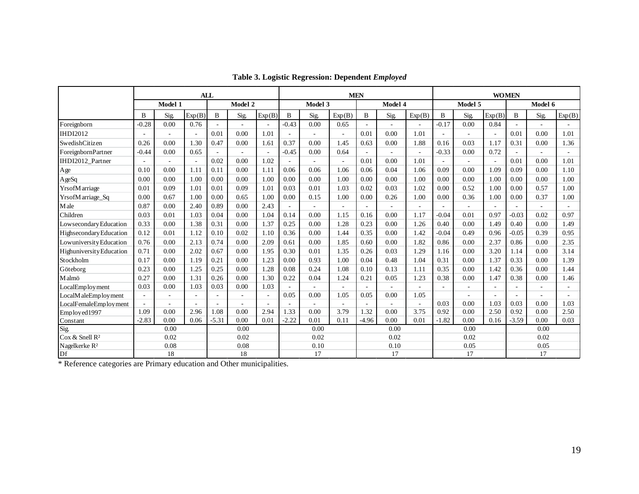|                            |                          | <b>ALL</b>               |        |         |                | <b>MEN</b> |                |         |        | <b>WOMEN</b> |         |        |         |         |                |         |         |        |
|----------------------------|--------------------------|--------------------------|--------|---------|----------------|------------|----------------|---------|--------|--------------|---------|--------|---------|---------|----------------|---------|---------|--------|
|                            |                          | Model 1                  |        |         | Model 2        |            |                | Model 3 |        |              | Model 4 |        |         | Model 5 |                |         | Model 6 |        |
|                            | B                        | Sig.                     | Exp(B) | B       | Sig.           | Exp(B)     | B              | Sig.    | Exp(B) | $\mathbf{B}$ | Sig.    | Exp(B) | B       | Sig.    | Exp(B)         | B       | Sig.    | Exp(B) |
| Foreignborn                | $-0.28$                  | 0.00                     | 0.76   |         | $\overline{a}$ | $\sim$     | $-0.43$        | 0.00    | 0.65   | $\sim$       |         |        | $-0.17$ | 0.00    | 0.84           |         | ÷.      |        |
| <b>IHDI2012</b>            |                          | $\overline{\phantom{a}}$ |        | 0.01    | 0.00           | 1.01       | $\overline{a}$ |         |        | 0.01         | 0.00    | 1.01   |         |         |                | 0.01    | 0.00    | 1.01   |
| SwedishCitizen             | 0.26                     | 0.00                     | 1.30   | 0.47    | 0.00           | 1.61       | 0.37           | 0.00    | 1.45   | 0.63         | 0.00    | 1.88   | 0.16    | 0.03    | 1.17           | 0.31    | 0.00    | 1.36   |
| ForeignbornPartner         | $-0.44$                  | 0.00                     | 0.65   |         |                | $\sim$     | $-0.45$        | 0.00    | 0.64   | $\sim$       |         |        | $-0.33$ | 0.00    | 0.72           |         |         |        |
| IHDI2012 Partner           | ÷.                       | ÷.                       |        | 0.02    | 0.00           | 1.02       | $\sim$         |         |        | 0.01         | 0.00    | 1.01   | $\sim$  |         | $\overline{a}$ | 0.01    | 0.00    | 1.01   |
| $\rm Age$                  | 0.10                     | 0.00                     | 1.11   | 0.11    | 0.00           | 1.11       | 0.06           | 0.06    | 1.06   | 0.06         | 0.04    | 1.06   | 0.09    | 0.00    | 1.09           | 0.09    | 0.00    | 1.10   |
| AgeSq                      | 0.00                     | 0.00                     | 1.00   | 0.00    | 0.00           | 1.00       | 0.00           | 0.00    | 1.00   | 0.00         | 0.00    | 1.00   | 0.00    | 0.00    | 1.00           | 0.00    | 0.00    | 1.00   |
| YrsofM arriage             | 0.01                     | 0.09                     | 1.01   | 0.01    | 0.09           | 1.01       | 0.03           | 0.01    | 1.03   | 0.02         | 0.03    | 1.02   | 0.00    | 0.52    | 1.00           | 0.00    | 0.57    | 1.00   |
| YrsofMarriage_Sq           | 0.00                     | 0.67                     | 1.00   | 0.00    | 0.65           | 1.00       | 0.00           | 0.15    | 1.00   | 0.00         | 0.26    | 1.00   | 0.00    | 0.36    | 1.00           | 0.00    | 0.37    | 1.00   |
| Male                       | 0.87                     | 0.00                     | 2.40   | 0.89    | 0.00           | 2.43       | $\sim$         |         |        | ÷.           |         |        | $\sim$  |         |                |         |         |        |
| Children                   | 0.03                     | 0.01                     | 1.03   | 0.04    | 0.00           | 1.04       | 0.14           | 0.00    | 1.15   | 0.16         | 0.00    | 1.17   | $-0.04$ | 0.01    | 0.97           | $-0.03$ | 0.02    | 0.97   |
| Lowsecondary Education     | 0.33                     | 0.00                     | 1.38   | 0.31    | 0.00           | 1.37       | 0.25           | 0.00    | 1.28   | 0.23         | 0.00    | 1.26   | 0.40    | 0.00    | 1.49           | 0.40    | 0.00    | 1.49   |
| Highsecondary Education    | 0.12                     | 0.01                     | 1.12   | 0.10    | 0.02           | 1.10       | 0.36           | 0.00    | 1.44   | 0.35         | 0.00    | 1.42   | $-0.04$ | 0.49    | 0.96           | $-0.05$ | 0.39    | 0.95   |
| Lowuniversity Education    | 0.76                     | 0.00                     | 2.13   | 0.74    | 0.00           | 2.09       | 0.61           | 0.00    | 1.85   | 0.60         | 0.00    | 1.82   | 0.86    | 0.00    | 2.37           | 0.86    | 0.00    | 2.35   |
| Highuniversity Education   | 0.71                     | 0.00                     | 2.02   | 0.67    | 0.00           | 1.95       | 0.30           | 0.01    | 1.35   | 0.26         | 0.03    | 1.29   | 1.16    | 0.00    | 3.20           | 1.14    | 0.00    | 3.14   |
| Stockholm                  | 0.17                     | 0.00                     | 1.19   | 0.21    | 0.00           | 1.23       | 0.00           | 0.93    | 1.00   | 0.04         | 0.48    | 1.04   | 0.31    | 0.00    | 1.37           | 0.33    | 0.00    | 1.39   |
| Göteborg                   | 0.23                     | 0.00                     | 1.25   | 0.25    | 0.00           | 1.28       | 0.08           | 0.24    | 1.08   | 0.10         | 0.13    | 1.11   | 0.35    | 0.00    | 1.42           | 0.36    | 0.00    | 1.44   |
| Malmö                      | 0.27                     | 0.00                     | 1.31   | 0.26    | 0.00           | 1.30       | 0.22           | 0.04    | 1.24   | 0.21         | 0.05    | 1.23   | 0.38    | 0.00    | 1.47           | 0.38    | 0.00    | 1.46   |
| LocalEmployment            | 0.03                     | 0.00                     | 1.03   | 0.03    | 0.00           | 1.03       | $\sim$         |         |        | $\sim$       |         |        | $\sim$  |         |                |         |         |        |
| LocalM aleEmploy ment      | $\overline{\phantom{a}}$ | $\sim$                   |        |         | ÷,             | $\omega$   | 0.05           | 0.00    | 1.05   | 0.05         | 0.00    | 1.05   |         |         |                |         |         |        |
| LocalFemaleEmployment      | ÷,                       | $\sim$                   |        |         | $\overline{a}$ |            | $\sim$         |         |        | $\sim$       |         |        | 0.03    | 0.00    | 1.03           | 0.03    | 0.00    | 1.03   |
| Employed1997               | 1.09                     | 0.00                     | 2.96   | 1.08    | 0.00           | 2.94       | 1.33           | 0.00    | 3.79   | 1.32         | 0.00    | 3.75   | 0.92    | 0.00    | 2.50           | 0.92    | 0.00    | 2.50   |
| Constant                   | $-2.83$                  | 0.00                     | 0.06   | $-5.31$ | 0.00           | 0.01       | $-2.22$        | 0.01    | 0.11   | $-4.96$      | 0.00    | 0.01   | $-1.82$ | 0.00    | 0.16           | $-3.59$ | 0.00    | 0.03   |
| Sig.                       |                          | 0.00                     |        |         | 0.00           |            |                | 0.00    |        |              | 0.00    |        |         | 0.00    |                |         | 0.00    |        |
| Cox & Snell R <sup>2</sup> |                          | 0.02                     |        |         | 0.02           |            |                | 0.02    |        | 0.02         |         |        | 0.02    |         | 0.02           |         |         |        |
| Nagelkerke $\mathbb{R}^2$  |                          | 0.08                     |        |         | 0.08           |            |                | 0.10    |        |              | 0.10    |        |         | 0.05    |                |         | 0.05    |        |
| Df                         |                          | 18                       |        |         | 18             |            |                | 17      |        |              | 17      |        |         | 17      |                | 17      |         |        |

|  | Table 3. Logistic Regression: Dependent Employed |  |
|--|--------------------------------------------------|--|
|  |                                                  |  |

\* Reference categories are Primary education and Other municipalities.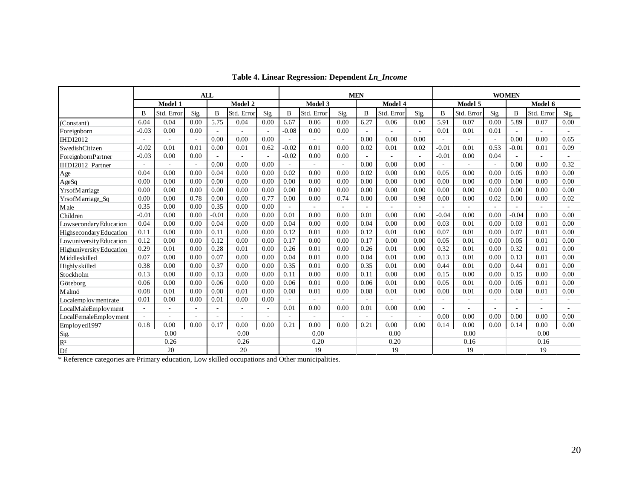|                          |                          | <b>ALL</b>               |      |         |                          | <b>MEN</b> |              |                          |                          |        |              | <b>WOMEN</b> |                |                          |                |                          |                          |      |
|--------------------------|--------------------------|--------------------------|------|---------|--------------------------|------------|--------------|--------------------------|--------------------------|--------|--------------|--------------|----------------|--------------------------|----------------|--------------------------|--------------------------|------|
|                          |                          | Model 1                  |      |         | Model 2                  |            |              | Model 3                  |                          |        | Model 4      |              |                | Model 5                  |                |                          | Model 6                  |      |
|                          | B                        | Std. Error               | Sig. | B       | Std. Error               | Sig.       | B            | Std. Error               | Sig.                     | B      | Std. Error   | Sig.         | B              | Std. Error               | Sig.           | B                        | Std. Error               | Sig. |
| (Constant)               | 6.04                     | 0.04                     | 0.00 | 5.75    | 0.04                     | 0.00       | 6.67         | 0.06                     | 0.00                     | 6.27   | 0.06         | 0.00         | 5.91           | 0.07                     | 0.00           | 5.89                     | 0.07                     | 0.00 |
| Foreignborn              | $-0.03$                  | 0.00                     | 0.00 |         | ÷.                       | $\sim$     | $-0.08$      | 0.00                     | 0.00                     | ÷.     |              |              | 0.01           | 0.01                     | 0.01           | $\overline{\phantom{a}}$ | $\sim$                   | ÷    |
| <b>IHDI2012</b>          | $\sim$                   | $\sim$                   |      | 0.00    | 0.00                     | 0.00       | $\sim$       | $\sim$                   | $\sim$                   | 0.00   | 0.00         | 0.00         | $\sim$         | $\overline{\phantom{a}}$ | ÷,             | 0.00                     | 0.00                     | 0.65 |
| SwedishCitizen           | $-0.02$                  | 0.01                     | 0.01 | 0.00    | 0.01                     | 0.62       | $-0.02$      | 0.01                     | 0.00                     | 0.02   | 0.01         | 0.02         | $-0.01$        | 0.01                     | 0.53           | $-0.01$                  | 0.01                     | 0.09 |
| ForeignbornPartner       | $-0.03$                  | 0.00                     | 0.00 |         | ÷,                       | $\sim$     | $-0.02$      | 0.00                     | 0.00                     | $\sim$ |              |              | $-0.01$        | 0.00                     | 0.04           | $\overline{\phantom{a}}$ | $\sim$                   |      |
| IHDI2012 Partner         | $\overline{\phantom{a}}$ | $\overline{\phantom{a}}$ |      | 0.00    | 0.00                     | 0.00       | $\sim$       | $\overline{\phantom{a}}$ | $\overline{\phantom{a}}$ | 0.00   | 0.00         | 0.00         | $\overline{a}$ | $\overline{a}$           | $\sim$         | 0.00                     | 0.00                     | 0.32 |
| Age                      | 0.04                     | 0.00                     | 0.00 | 0.04    | 0.00                     | 0.00       | 0.02         | 0.00                     | 0.00                     | 0.02   | 0.00         | 0.00         | 0.05           | 0.00                     | 0.00           | 0.05                     | 0.00                     | 0.00 |
| AgeSq                    | 0.00                     | 0.00                     | 0.00 | 0.00    | 0.00                     | 0.00       | 0.00         | 0.00                     | 0.00                     | 0.00   | 0.00         | 0.00         | 0.00           | 0.00                     | 0.00           | 0.00                     | 0.00                     | 0.00 |
| YrsofM arriage           | 0.00                     | 0.00                     | 0.00 | 0.00    | 0.00                     | 0.00       | 0.00         | 0.00                     | 0.00                     | 0.00   | 0.00         | 0.00         | 0.00           | 0.00                     | 0.00           | 0.00                     | 0.00                     | 0.00 |
| YrsofMarriage Sq         | 0.00                     | 0.00                     | 0.78 | 0.00    | 0.00                     | 0.77       | 0.00         | 0.00                     | 0.74                     | 0.00   | 0.00         | 0.98         | 0.00           | 0.00                     | 0.02           | 0.00                     | 0.00                     | 0.02 |
| Male                     | 0.35                     | 0.00                     | 0.00 | 0.35    | 0.00                     | 0.00       | $\sim$       |                          |                          | $\sim$ |              |              | $\sim$         |                          |                |                          |                          |      |
| Children                 | $-0.01$                  | 0.00                     | 0.00 | $-0.01$ | 0.00                     | 0.00       | 0.01         | 0.00                     | 0.00                     | 0.01   | 0.00         | 0.00         | $-0.04$        | 0.00                     | 0.00           | $-0.04$                  | 0.00                     | 0.00 |
| Lowsecondary Education   | 0.04                     | 0.00                     | 0.00 | 0.04    | 0.00                     | 0.00       | 0.04         | 0.00                     | 0.00                     | 0.04   | 0.00         | 0.00         | 0.03           | 0.01                     | 0.00           | 0.03                     | 0.01                     | 0.00 |
| Highsecondary Education  | 0.11                     | 0.00                     | 0.00 | 0.11    | 0.00                     | 0.00       | 0.12         | 0.01                     | 0.00                     | 0.12   | 0.01         | 0.00         | 0.07           | 0.01                     | 0.00           | 0.07                     | 0.01                     | 0.00 |
| Lowuniversity Education  | 0.12                     | 0.00                     | 0.00 | 0.12    | 0.00                     | 0.00       | 0.17         | 0.00                     | 0.00                     | 0.17   | 0.00         | 0.00         | 0.05           | 0.01                     | 0.00           | 0.05                     | 0.01                     | 0.00 |
| Highuniversity Education | 0.29                     | 0.01                     | 0.00 | 0.28    | 0.01                     | 0.00       | 0.26         | 0.01                     | 0.00                     | 0.26   | 0.01         | 0.00         | 0.32           | 0.01                     | 0.00           | 0.32                     | 0.01                     | 0.00 |
| Middleskilled            | 0.07                     | 0.00                     | 0.00 | 0.07    | 0.00                     | 0.00       | 0.04         | 0.01                     | 0.00                     | 0.04   | 0.01         | 0.00         | 0.13           | 0.01                     | 0.00           | 0.13                     | 0.01                     | 0.00 |
| Highly skilled           | 0.38                     | 0.00                     | 0.00 | 0.37    | 0.00                     | 0.00       | 0.35         | 0.01                     | 0.00                     | 0.35   | 0.01         | 0.00         | 0.44           | 0.01                     | 0.00           | 0.44                     | 0.01                     | 0.00 |
| Stockholm                | 0.13                     | 0.00                     | 0.00 | 0.13    | 0.00                     | 0.00       | 0.11         | 0.00                     | 0.00                     | 0.11   | 0.00         | 0.00         | 0.15           | 0.00                     | 0.00           | 0.15                     | 0.00                     | 0.00 |
| Göteborg                 | 0.06                     | 0.00                     | 0.00 | 0.06    | 0.00                     | 0.00       | 0.06         | 0.01                     | 0.00                     | 0.06   | 0.01         | 0.00         | 0.05           | 0.01                     | 0.00           | 0.05                     | 0.01                     | 0.00 |
| Malmö                    | 0.08                     | 0.01                     | 0.00 | 0.08    | 0.01                     | 0.00       | 0.08         | 0.01                     | 0.00                     | 0.08   | 0.01         | 0.00         | 0.08           | 0.01                     | 0.00           | 0.08                     | 0.01                     | 0.00 |
| Localemploy mentrate     | 0.01                     | 0.00                     | 0.00 | 0.01    | 0.00                     | 0.00       | $\sim$       |                          |                          | $\sim$ |              |              | $\sim$         |                          | $\overline{a}$ |                          | $\overline{\phantom{a}}$ |      |
| LocalM aleEmploy ment    | $\sim$                   | $\overline{\phantom{a}}$ |      |         | $\overline{\phantom{a}}$ | $\omega$   | 0.01         | 0.00                     | 0.00                     | 0.01   | 0.00         | 0.00         | $\sim$         |                          |                | $\sim$                   | ÷.                       |      |
| LocalFemaleEmployment    |                          | $\overline{\phantom{a}}$ |      |         | ۰                        |            | ٠            |                          |                          | $\sim$ |              |              | 0.00           | 0.00                     | 0.00           | 0.00                     | 0.00                     | 0.00 |
| Employed1997             | 0.18                     | 0.00                     | 0.00 | 0.17    | 0.00                     | 0.00       | 0.21         | 0.00                     | 0.00                     | 0.21   | 0.00         | 0.00         | 0.14           | 0.00                     | 0.00           | 0.14                     | 0.00                     | 0.00 |
| Sig.                     |                          | 0.00                     |      |         | 0.00                     |            | 0.00<br>0.00 |                          |                          |        | 0.00<br>0.00 |              |                |                          |                |                          |                          |      |
| $\mathbb{R}^2$           |                          | 0.26                     |      |         | 0.26                     |            |              | 0.20                     |                          |        | 0.20         |              |                | 0.16                     |                |                          | 0.16                     |      |
| Df                       | 20                       |                          |      |         | 20                       |            |              | 19                       |                          | 19     |              |              | 19             |                          |                | 19                       |                          |      |

**Table 4. Linear Regression: Dependent** *Ln\_Income*

\* Reference categories are Primary education, Low skilled occupations and Other municipalities.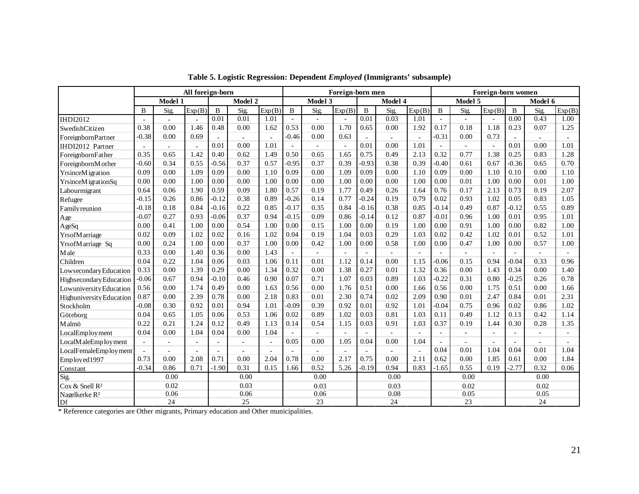|                            |                          | All foreign-born |        |                |                | Foreign-born men |                |                |                |                | Foreign-born women |        |                |                          |                |                |                |                          |
|----------------------------|--------------------------|------------------|--------|----------------|----------------|------------------|----------------|----------------|----------------|----------------|--------------------|--------|----------------|--------------------------|----------------|----------------|----------------|--------------------------|
|                            |                          | Model 1          |        |                | Model 2        |                  |                | Model 3        |                |                | Model 4            |        |                | Model 5                  |                |                | Model 6        |                          |
|                            | B                        | Sig.             | Exp(B) | $\, {\bf B}$   | Sig.           | Exp(B)           | B              | Sig.           | Exp(B)         | $\, {\bf B}$   | Sig.               | Exp(B) | B              | <b>Sig</b>               | Exp(B)         | B              | Sig.           | Exp(B)                   |
| <b>IHDI2012</b>            |                          |                  |        | 0.01           | 0.01           | 1.01             | $\overline{a}$ | $\overline{a}$ | $\overline{a}$ | 0.01           | 0.03               | 1.01   | $\overline{a}$ | $\overline{a}$           | $\overline{a}$ | 0.00           | 0.43           | 1.00                     |
| SwedishCitizen             | 0.38                     | 0.00             | 1.46   | 0.48           | 0.00           | 1.62             | 0.53           | 0.00           | 1.70           | 0.65           | 0.00               | 1.92   | 0.17           | 0.18                     | 1.18           | 0.23           | 0.07           | 1.25                     |
| ForeignbornPartner         | $-0.38$                  | 0.00             | 0.69   | ÷,             | $\sim$         | $\sim$           | $-0.46$        | 0.00           | 0.63           | $\omega$       |                    |        | $-0.31$        | 0.00                     | 0.73           | $\overline{a}$ |                |                          |
| IHDI2012 Partner           | $\overline{\phantom{a}}$ | $\sim$           |        | 0.01           | 0.00           | 1.01             | $\equiv$       |                | $\sim$         | 0.01           | 0.00               | 1.01   |                | $\sim$                   | $\sim$         | 0.01           | 0.00           | 1.01                     |
| ForeignbornFather          | 0.35                     | 0.65             | 1.42   | 0.40           | 0.62           | 1.49             | 0.50           | 0.65           | 1.65           | 0.75           | 0.49               | 2.13   | 0.32           | 0.77                     | 1.38           | 0.25           | 0.83           | 1.28                     |
| ForeignbornM other         | $-0.60$                  | 0.34             | 0.55   | $-0.56$        | 0.37           | 0.57             | $-0.95$        | 0.37           | 0.39           | $-0.93$        | 0.38               | 0.39   | $-0.40$        | 0.61                     | 0.67           | $-0.36$        | 0.65           | 0.70                     |
| <b>YrsinceMigration</b>    | 0.09                     | 0.00             | 1.09   | 0.09           | 0.00           | 1.10             | 0.09           | 0.00           | 1.09           | 0.09           | 0.00               | 1.10   | 0.09           | 0.00                     | 1.10           | 0.10           | 0.00           | 1.10                     |
| YrsinceMigrationSq         | 0.00                     | 0.00             | 1.00   | 0.00           | 0.00           | 1.00             | 0.00           | 0.00           | 1.00           | 0.00           | 0.00               | 1.00   | 0.00           | 0.01                     | 1.00           | 0.00           | 0.01           | 1.00                     |
| Labourmigrant              | 0.64                     | 0.06             | 1.90   | 0.59           | 0.09           | 1.80             | 0.57           | 0.19           | 1.77           | 0.49           | 0.26               | 1.64   | 0.76           | 0.17                     | 2.13           | 0.73           | 0.19           | 2.07                     |
| Refugee                    | $-0.15$                  | 0.26             | 0.86   | $-0.12$        | 0.38           | 0.89             | $-0.26$        | 0.14           | 0.77           | $-0.24$        | 0.19               | 0.79   | 0.02           | 0.93                     | 1.02           | 0.05           | 0.83           | 1.05                     |
| <b>Family reunion</b>      | $-0.18$                  | 0.18             | 0.84   | $-0.16$        | 0.22           | 0.85             | $-0.17$        | 0.35           | 0.84           | $-0.16$        | 0.38               | 0.85   | $-0.14$        | 0.49                     | 0.87           | $-0.12$        | 0.55           | 0.89                     |
| Age                        | $-0.07$                  | 0.27             | 0.93   | $-0.06$        | 0.37           | 0.94             | $-0.15$        | 0.09           | 0.86           | $-0.14$        | 0.12               | 0.87   | $-0.01$        | 0.96                     | 1.00           | 0.01           | 0.95           | 1.01                     |
| AgeSq                      | 0.00                     | 0.41             | 1.00   | 0.00           | 0.54           | 1.00             | 0.00           | 0.15           | 1.00           | 0.00           | 0.19               | 1.00   | 0.00           | 0.91                     | 1.00           | 0.00           | 0.82           | 1.00                     |
| Yrs of Marriage            | 0.02                     | 0.09             | 1.02   | 0.02           | 0.16           | 1.02             | 0.04           | 0.19           | 1.04           | 0.03           | 0.29               | 1.03   | 0.02           | 0.42                     | 1.02           | 0.01           | 0.52           | 1.01                     |
| YrsofMarriage Sq           | 0.00                     | 0.24             | 1.00   | 0.00           | 0.37           | 1.00             | 0.00           | 0.42           | 1.00           | 0.00           | 0.58               | 1.00   | 0.00           | 0.47                     | 1.00           | 0.00           | 0.57           | 1.00                     |
| Male                       | 0.33                     | 0.00             | 1.40   | 0.36           | 0.00           | 1.43             | $\sim$         |                |                | $\mathbf{r}$   |                    |        |                |                          | $\overline{a}$ |                |                |                          |
| Children                   | 0.04                     | 0.22             | 1.04   | 0.06           | 0.03           | 1.06             | 0.11           | 0.01           | 1.12           | 0.14           | 0.00               | 1.15   | $-0.06$        | 0.15                     | 0.94           | $-0.04$        | 0.33           | 0.96                     |
| Lowsecondary Education     | 0.33                     | 0.00             | 1.39   | 0.29           | 0.00           | 1.34             | 0.32           | 0.00           | 1.38           | 0.27           | 0.01               | 1.32   | 0.36           | 0.00                     | 1.43           | 0.34           | 0.00           | 1.40                     |
| Highsecondary Education    | $-0.06$                  | 0.67             | 0.94   | $-0.10$        | 0.46           | 0.90             | 0.07           | 0.71           | 1.07           | 0.03           | 0.89               | 1.03   | $-0.22$        | 0.31                     | 0.80           | $-0.25$        | 0.26           | 0.78                     |
| Lowuniversity Education    | 0.56                     | 0.00             | 1.74   | 0.49           | 0.00           | 1.63             | 0.56           | 0.00           | 1.76           | 0.51           | 0.00               | 1.66   | 0.56           | 0.00                     | 1.75           | 0.51           | 0.00           | 1.66                     |
| Highuniversity Education   | 0.87                     | 0.00             | 2.39   | 0.78           | 0.00           | 2.18             | 0.83           | 0.01           | 2.30           | 0.74           | 0.02               | 2.09   | 0.90           | 0.01                     | 2.47           | 0.84           | 0.01           | 2.31                     |
| Stockholm                  | $-0.08$                  | 0.30             | 0.92   | 0.01           | 0.94           | 1.01             | $-0.09$        | 0.39           | 0.92           | 0.01           | 0.92               | 1.01   | $-0.04$        | 0.75                     | 0.96           | 0.02           | 0.86           | 1.02                     |
| Göteborg                   | 0.04                     | 0.65             | 1.05   | 0.06           | 0.53           | 1.06             | 0.02           | 0.89           | 1.02           | 0.03           | 0.81               | 1.03   | 0.11           | 0.49                     | 1.12           | 0.13           | 0.42           | 1.14                     |
| Malmö                      | 0.22                     | 0.21             | 1.24   | 0.12           | 0.49           | 1.13             | 0.14           | 0.54           | 1.15           | 0.03           | 0.91               | 1.03   | 0.37           | 0.19                     | 1.44           | 0.30           | 0.28           | 1.35                     |
| LocalEmployment            | 0.04                     | 0.00             | 1.04   | 0.04           | 0.00           | 1.04             |                |                | $\sim$         | $\sim$         |                    |        | $\sim$         | $\overline{\phantom{a}}$ | $\sim$         | $\sim$         | $\blacksquare$ | $\overline{\phantom{a}}$ |
| LocalM aleEmploy ment      | $\overline{\phantom{a}}$ | ÷,               | ä,     | $\overline{a}$ | $\sim$         | $\mathbf{r}$     | 0.05           | 0.00           | 1.05           | 0.04           | 0.00               | 1.04   |                | $\omega$                 | $\omega$       | $\omega$       | $\blacksquare$ | $\sim$                   |
| LocalFemaleEmployment      |                          | ÷.               |        | $\overline{a}$ | $\overline{a}$ | $\sim$           |                |                | $\overline{a}$ | $\overline{a}$ |                    |        | 0.04           | 0.01                     | 1.04           | 0.04           | 0.01           | 1.04                     |
| Employed1997               | 0.73                     | 0.00             | 2.08   | 0.71           | 0.00           | 2.04             | 0.78           | 0.00           | 2.17           | 0.75           | 0.00               | 2.11   | 0.62           | 0.00                     | 1.85           | 0.61           | 0.00           | 1.84                     |
| Constant                   | $-0.34$                  | 0.86             | 0.71   | $-1.90$        | 0.31           | 0.15             | 1.66           | 0.52           | 5.26           | $-0.19$        | 0.94               | 0.83   | $-1.65$        | 0.55                     | 0.19           | $-2.77$        | 0.32           | 0.06                     |
| Sig.                       |                          | 0.00             |        |                | 0.00           |                  |                | 0.00           |                |                | 0.00               |        |                | 0.00                     |                |                | 0.00           |                          |
| Cox & Snell R <sup>2</sup> |                          | 0.02             |        |                | 0.03           |                  |                | 0.03           |                |                | 0.03               |        |                | 0.02                     |                |                | 0.02           |                          |
| Nagelkerke R <sup>2</sup>  |                          | 0.06             |        |                | 0.06           |                  |                | 0.06           |                |                | 0.08               |        |                | 0.05                     |                |                | 0.05           |                          |
| Df                         |                          | 24               |        |                | 25             |                  |                | 23             |                |                | 24                 |        |                | 23                       |                |                | 24             |                          |

**Table 5. Logistic Regression: Dependent** *Employed* **(Immigrants' subsample)**

\* Reference categories are Other migrants, Primary education and Other municipalities.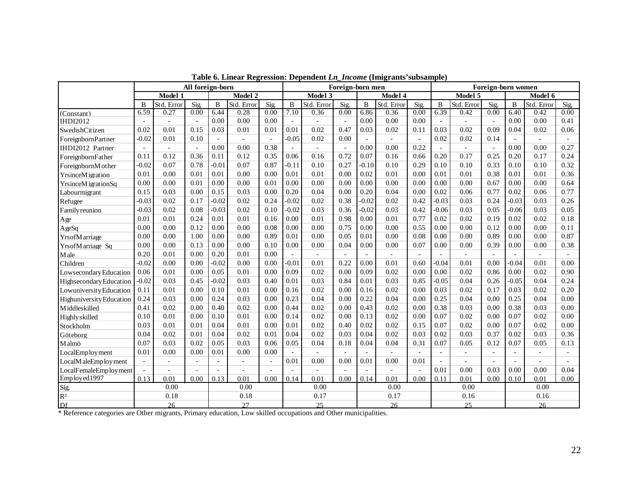|                          |                          |                | All foreign-born |                |                |                |          |                | Foreign-born men         |                          |                |                          |         |                | Foreign-born women |                |                          |      |
|--------------------------|--------------------------|----------------|------------------|----------------|----------------|----------------|----------|----------------|--------------------------|--------------------------|----------------|--------------------------|---------|----------------|--------------------|----------------|--------------------------|------|
|                          |                          | Model 1        |                  |                | Model 2        |                |          | Model 3        |                          |                          | Model 4        |                          |         | Model 5        |                    |                | Model 6                  |      |
|                          | B                        | Std. Error     | Sig.             | B              | Std. Error     | Sig.           | B        | Std. Error     | Sig.                     | $\mathbf{B}$             | Std. Error     | Sig.                     | B       | Std. Error     | Sig.               | B              | Std. Error               | Sig. |
| (Constant)               | 6.59                     | 0.27           | 0.00             | 6.44           | 0.28           | 0.00           | 7.10     | 0.36           | 0.00                     | 6.86                     | 0.36           | 0.00                     | 6.39    | 0.42           | 0.00               | 6.40           | 0.42                     | 0.00 |
| <b>IHDI2012</b>          | $\sim$                   | $\mathbf{r}$   | $\sim$           | 0.00           | 0.00           | 0.00           | $\sim$   | $\sim$         | $\omega$                 | 0.00                     | 0.00           | 0.00                     | $\sim$  | $\overline{a}$ | $\overline{a}$     | 0.00           | 0.00                     | 0.41 |
| SwedishCitizen           | 0.02                     | 0.01           | 0.15             | 0.03           | 0.01           | 0.01           | 0.01     | 0.02           | 0.47                     | 0.03                     | 0.02           | 0.11                     | 0.03    | 0.02           | 0.09               | 0.04           | 0.02                     | 0.06 |
| ForeignbornPartner       | $-0.02$                  | 0.01           | 0.10             | $\overline{a}$ |                | $\overline{a}$ | $-0.05$  | 0.02           | 0.00                     | $\sim$                   | $\overline{a}$ | $\overline{\phantom{a}}$ | 0.02    | 0.02           | 0.14               | $\overline{a}$ | $\overline{a}$           |      |
| IHDI2012 Partner         | $\overline{a}$           | $\overline{a}$ | $\mathbf{r}$     | 0.00           | 0.00           | 0.38           | $\sim$   | $\overline{a}$ | $\sim$                   | 0.00                     | 0.00           | 0.22                     |         | $\overline{a}$ | $\overline{a}$     | 0.00           | 0.00                     | 0.27 |
| ForeignbornFather        | 0.11                     | 0.12           | 0.36             | 0.11           | 0.12           | 0.35           | 0.06     | 0.16           | 0.72                     | 0.07                     | 0.16           | 0.66                     | 0.20    | 0.17           | 0.25               | 0.20           | 0.17                     | 0.24 |
| ForeignbornM other       | $-0.02$                  | 0.07           | 0.78             | $-0.01$        | 0.07           | 0.87           | $-0.11$  | 0.10           | 0.27                     | $-0.10$                  | 0.10           | 0.29                     | 0.10    | 0.10           | 0.33               | 0.10           | 0.10                     | 0.32 |
| YrsinceMigration         | 0.01                     | 0.00           | 0.01             | 0.01           | 0.00           | 0.00           | 0.01     | 0.01           | 0.00                     | 0.02                     | 0.01           | 0.00                     | 0.01    | 0.01           | 0.38               | 0.01           | 0.01                     | 0.36 |
| YrsinceMigrationSq       | 0.00                     | 0.00           | 0.01             | 0.00           | 0.00           | 0.01           | 0.00     | 0.00           | 0.00                     | 0.00                     | 0.00           | 0.00                     | 0.00    | 0.00           | 0.67               | 0.00           | 0.00                     | 0.64 |
| Labourmigrant            | 0.15                     | 0.03           | 0.00             | 0.15           | 0.03           | 0.00           | 0.20     | 0.04           | 0.00                     | 0.20                     | 0.04           | 0.00                     | 0.02    | 0.06           | 0.77               | 0.02           | 0.06                     | 0.77 |
| Refugee                  | $-0.03$                  | 0.02           | 0.17             | $-0.02$        | 0.02           | 0.24           | $-0.02$  | 0.02           | 0.38                     | $-0.02$                  | 0.02           | 0.42                     | $-0.03$ | 0.03           | 0.24               | $-0.03$        | 0.03                     | 0.26 |
| <b>Family reunion</b>    | $-0.03$                  | 0.02           | 0.08             | $-0.03$        | 0.02           | 0.10           | $-0.02$  | 0.03           | 0.36                     | $-0.02$                  | 0.03           | 0.42                     | $-0.06$ | 0.03           | 0.05               | $-0.06$        | 0.03                     | 0.05 |
| Age                      | 0.01                     | 0.01           | 0.24             | 0.01           | 0.01           | 0.16           | 0.00     | 0.01           | 0.98                     | 0.00                     | 0.01           | 0.77                     | 0.02    | 0.02           | 0.19               | 0.02           | 0.02                     | 0.18 |
| AgeSq                    | 0.00                     | 0.00           | 0.12             | 0.00           | 0.00           | 0.08           | 0.00     | 0.00           | 0.75                     | 0.00                     | 0.00           | 0.55                     | 0.00    | 0.00           | 0.12               | 0.00           | 0.00                     | 0.11 |
| YrsofMarriage            | 0.00                     | 0.00           | 1.00             | 0.00           | 0.00           | 0.89           | 0.01     | 0.00           | 0.05                     | 0.01                     | 0.00           | 0.08                     | 0.00    | 0.00           | 0.89               | 0.00           | 0.00                     | 0.87 |
| YrsofMarriage Sq         | 0.00                     | 0.00           | 0.13             | 0.00           | 0.00           | 0.10           | 0.00     | 0.00           | 0.04                     | 0.00                     | 0.00           | 0.07                     | 0.00    | 0.00           | 0.39               | 0.00           | 0.00                     | 0.38 |
| Male                     | 0.20                     | 0.01           | 0.00             | 0.20           | 0.01           | 0.00           | $\equiv$ | $\sim$         | $\overline{\phantom{a}}$ | $\omega$                 | $\blacksquare$ | $\sim$                   | $\sim$  | $\overline{a}$ | $\sim$             | $\omega$       | $\overline{\phantom{a}}$ |      |
| Children                 | $-0.02$                  | 0.00           | 0.00             | $-0.02$        | 0.00           | 0.00           | $-0.01$  | 0.01           | 0.22                     | 0.00                     | 0.01           | 0.60                     | $-0.04$ | 0.01           | 0.00               | $-0.04$        | 0.01                     | 0.00 |
| Lowsecondary Education   | 0.06                     | 0.01           | 0.00             | 0.05           | 0.01           | 0.00           | 0.09     | 0.02           | 0.00                     | 0.09                     | 0.02           | 0.00                     | 0.00    | 0.02           | 0.86               | 0.00           | 0.02                     | 0.90 |
| Highsecondary Education  | $-0.02$                  | 0.03           | 0.45             | $-0.02$        | 0.03           | 0.40           | 0.01     | 0.03           | 0.84                     | 0.01                     | 0.03           | 0.85                     | $-0.05$ | 0.04           | 0.26               | $-0.05$        | 0.04                     | 0.24 |
| Lowuniversity Education  | 0.11                     | 0.01           | 0.00             | 0.10           | 0.01           | 0.00           | 0.16     | 0.02           | 0.00                     | 0.16                     | 0.02           | 0.00                     | 0.03    | 0.02           | 0.17               | 0.03           | 0.02                     | 0.20 |
| Highuniversity Education | 0.24                     | 0.03           | 0.00             | 0.24           | 0.03           | 0.00           | 0.23     | 0.04           | 0.00                     | 0.22                     | 0.04           | 0.00                     | 0.25    | 0.04           | 0.00               | 0.25           | 0.04                     | 0.00 |
| <b>Middleskilled</b>     | 0.41                     | 0.02           | 0.00             | 0.40           | 0.02           | 0.00           | 0.44     | 0.02           | 0.00                     | 0.43                     | 0.02           | 0.00                     | 0.38    | 0.03           | 0.00               | 0.38           | 0.03                     | 0.00 |
| Highly skilled           | 0.10                     | 0.01           | 0.00             | 0.10           | 0.01           | 0.00           | 0.14     | 0.02           | 0.00                     | 0.13                     | 0.02           | 0.00                     | 0.07    | 0.02           | 0.00               | 0.07           | 0.02                     | 0.00 |
| Stockholm                | 0.03                     | 0.01           | 0.01             | 0.04           | 0.01           | 0.00           | 0.01     | 0.02           | 0.40                     | 0.02                     | 0.02           | 0.15                     | 0.07    | 0.02           | 0.00               | 0.07           | 0.02                     | 0.00 |
| Göteborg                 | 0.04                     | 0.02           | 0.01             | 0.04           | 0.02           | 0.01           | 0.04     | 0.02           | 0.03                     | 0.04                     | 0.02           | 0.03                     | 0.02    | 0.03           | 0.37               | 0.02           | 0.03                     | 0.36 |
| Malmö                    | 0.07                     | 0.03           | 0.02             | 0.05           | 0.03           | 0.06           | 0.05     | 0.04           | 0.18                     | 0.04                     | 0.04           | 0.31                     | 0.07    | 0.05           | 0.12               | 0.07           | 0.05                     | 0.13 |
| LocalEmployment          | 0.01                     | 0.00           | 0.00             | 0.01           | 0.00           | 0.00           |          |                |                          | $\bar{a}$                |                |                          |         | $\sim$         | $\blacksquare$     |                |                          |      |
| LocalMaleEmployment      | $\overline{\phantom{a}}$ | L,             |                  | $\blacksquare$ | $\blacksquare$ | $\blacksquare$ | 0.01     | 0.00           | 0.00                     | 0.01                     | 0.00           | 0.01                     |         |                |                    |                |                          |      |
| LocalFemaleEmployment    |                          |                |                  | $\overline{a}$ | $\blacksquare$ |                |          |                |                          | $\overline{\phantom{a}}$ |                |                          | 0.01    | 0.00           | 0.03               | 0.00           | 0.00                     | 0.04 |
| Employed1997             | 0.13                     | 0.01           | 0.00             | 0.13           | 0.01           | 0.00           | 0.14     | 0.01           | 0.00                     | 0.14                     | 0.01           | 0.00                     | 0.11    | 0.01           | 0.00               | 0.10           | 0.01                     | 0.00 |
| Sig.                     |                          | 0.00           |                  |                | 0.00           |                |          | 0.00           |                          |                          | 0.00           |                          |         | 0.00           |                    |                | 0.00                     |      |
| $\mathbb{R}^2$           |                          | 0.18           |                  |                | 0.18           |                |          | 0.17           |                          |                          | 0.17           |                          | 0.16    |                | 0.16               |                |                          |      |
| Df                       |                          | 26             |                  |                | 27             |                |          | 25             |                          |                          | 26             |                          |         | 25             |                    |                | 26                       |      |

**Table 6. Linear Regression: Dependent** *Ln\_Income* **(Imigrants'subsample)**

\* Reference categories are Other migrants, Primary education, Low skilled occupations and Other municipalities.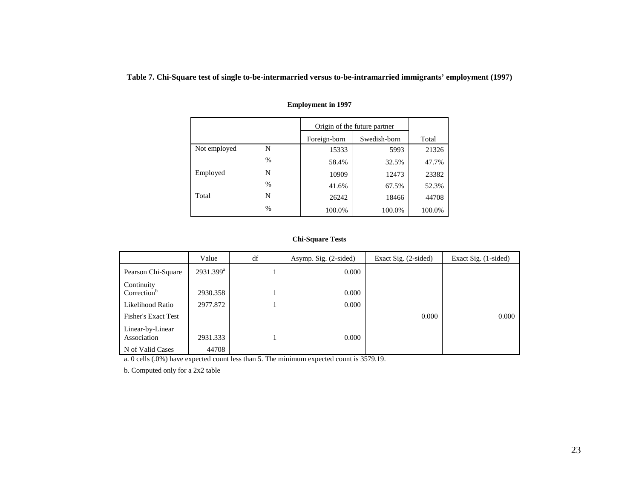**Table 7. Chi-Square test of single to-be-intermarried versus to-be-intramarried immigrants' employment (1997)**

|              |      | Origin of the future partner |              |        |
|--------------|------|------------------------------|--------------|--------|
|              |      | Foreign-born                 | Swedish-born | Total  |
| Not employed | N    | 15333                        | 5993         | 21326  |
|              | $\%$ | 58.4%                        | 32.5%        | 47.7%  |
| Employed     | N    | 10909                        | 12473        | 23382  |
|              | $\%$ | 41.6%                        | 67.5%        | 52.3%  |
| Total        | N    | 26242                        | 18466        | 44708  |
|              | $\%$ | 100.0%                       | 100.0%       | 100.0% |

#### **Employment in 1997**

#### **Chi-Square Tests**

|                                       | Value                 | df | Asymp. Sig. (2-sided) | Exact Sig. (2-sided) | Exact Sig. (1-sided) |
|---------------------------------------|-----------------------|----|-----------------------|----------------------|----------------------|
| Pearson Chi-Square                    | 2931.399 <sup>a</sup> |    | 0.000                 |                      |                      |
| Continuity<br>Correction <sup>b</sup> | 2930.358              |    | 0.000                 |                      |                      |
| Likelihood Ratio                      | 2977.872              |    | 0.000                 |                      |                      |
| <b>Fisher's Exact Test</b>            |                       |    |                       | 0.000                | 0.000                |
| Linear-by-Linear<br>Association       | 2931.333              |    | 0.000                 |                      |                      |
| N of Valid Cases                      | 44708                 |    |                       |                      |                      |

a. 0 cells (.0%) have expected count less than 5. The minimum expected count is 3579.19.

b. Computed only for a 2x2 table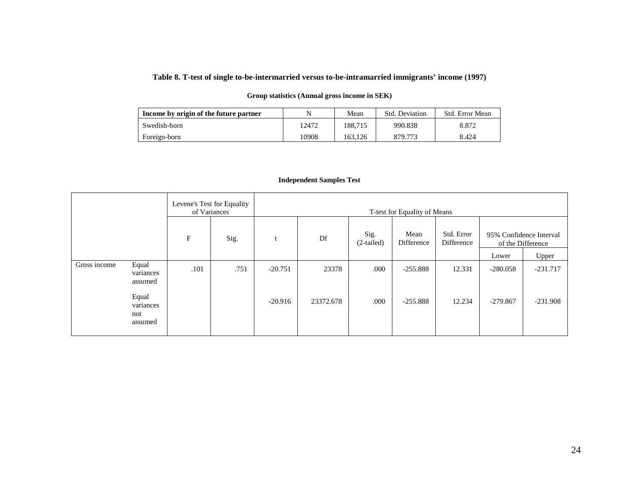#### **Table 8. T-test of single to-be-intermarried versus to-be-intramarried immigrants' income (1997)**

#### **Group statistics (Annual gross income in SEK)**

| Income by origin of the future partner |       | Mean    | Std. Deviation | Std. Error Mean |
|----------------------------------------|-------|---------|----------------|-----------------|
| Swedish-born                           | 12472 | 188.715 | 990.838        | 8.872           |
| Foreign-born                           | 10908 | 163.126 | 879.773        | 8.424           |

#### **Independent Samples Test**

|              |                                      |            | Levene's Test for Equality<br>of Variances | T-test for Equality of Means |           |                      |                    |                          |            |                                              |
|--------------|--------------------------------------|------------|--------------------------------------------|------------------------------|-----------|----------------------|--------------------|--------------------------|------------|----------------------------------------------|
|              |                                      | $_{\rm F}$ | Sig.                                       |                              | Df        | Sig.<br>$(2-tailed)$ | Mean<br>Difference | Std. Error<br>Difference |            | 95% Confidence Interval<br>of the Difference |
|              |                                      |            |                                            |                              |           |                      |                    |                          | Lower      | Upper                                        |
| Gross income | Equal<br>variances<br>assumed        | .101       | .751                                       | $-20.751$                    | 23378     | .000                 | $-255.888$         | 12.331                   | $-280.058$ | $-231.717$                                   |
|              | Equal<br>variances<br>not<br>assumed |            |                                            | $-20.916$                    | 23372.678 | .000                 | $-255.888$         | 12.234                   | $-279.867$ | $-231.908$                                   |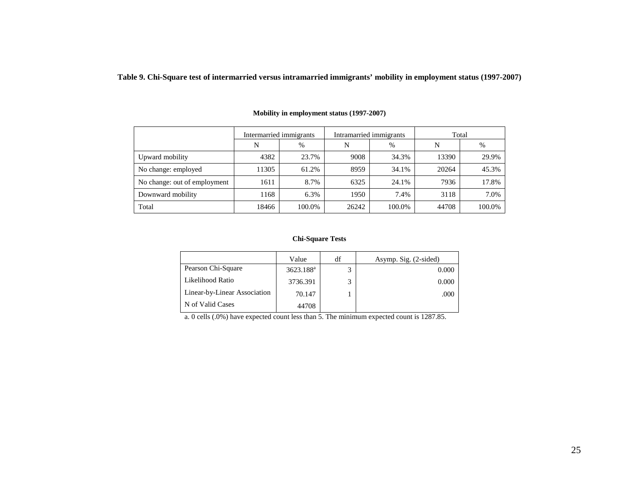**Table 9. Chi-Square test of intermarried versus intramarried immigrants' mobility in employment status (1997-2007)**

|                              | Intermarried immigrants |        |       | Intramarried immigrants | Total |        |  |  |
|------------------------------|-------------------------|--------|-------|-------------------------|-------|--------|--|--|
|                              | N                       | %      | N     | $\%$                    | N     | $\%$   |  |  |
| Upward mobility              | 4382                    | 23.7%  | 9008  | 34.3%                   | 13390 | 29.9%  |  |  |
| No change: employed          | 11305                   | 61.2%  | 8959  | 34.1%                   | 20264 | 45.3%  |  |  |
| No change: out of employment | 1611                    | 8.7%   | 6325  | 24.1%                   | 7936  | 17.8%  |  |  |
| Downward mobility            | 1168                    | 6.3%   | 1950  | 7.4%                    | 3118  | 7.0%   |  |  |
| Total                        | 18466                   | 100.0% | 26242 | 100.0%                  | 44708 | 100.0% |  |  |

#### **Mobility in employment status (1997-2007)**

#### **Chi-Square Tests**

|                              | Value                 | df | Asymp. Sig. (2-sided) |
|------------------------------|-----------------------|----|-----------------------|
| Pearson Chi-Square           | 3623.188 <sup>a</sup> | 2  | 0.000                 |
| Likelihood Ratio             | 3736.391              | ς  | 0.000                 |
| Linear-by-Linear Association | 70.147                |    | .000                  |
| N of Valid Cases             | 44708                 |    |                       |

a. 0 cells (.0%) have expected count less than 5. The minimum expected count is 1287.85.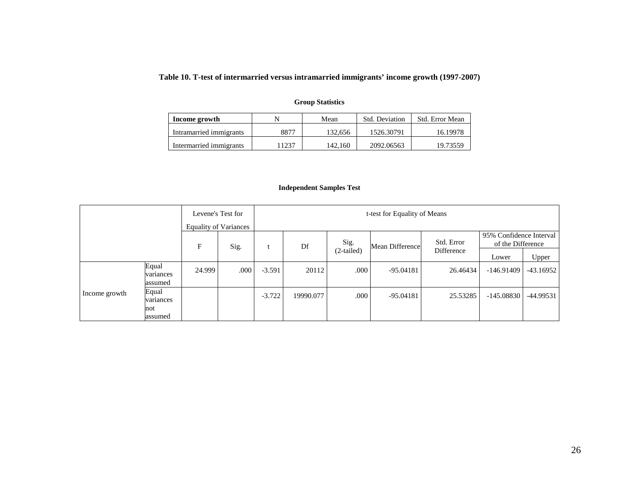## **Table 10. T-test of intermarried versus intramarried immigrants' income growth (1997-2007)**

| Income growth           |       | Mean    | <b>Std. Deviation</b> | Std. Error Mean |
|-------------------------|-------|---------|-----------------------|-----------------|
| Intramarried immigrants | 8877  | 132.656 | 1526.30791            | 16.19978        |
| Intermarried immigrants | .1237 | 142.160 | 2092.06563            | 19.73559        |

#### **Group Statistics**

#### **Independent Samples Test**

| Levene's Test for<br><b>Equality of Variances</b> |                                      |             |      | t-test for Equality of Means |           |                      |                        |                          |                                              |             |
|---------------------------------------------------|--------------------------------------|-------------|------|------------------------------|-----------|----------------------|------------------------|--------------------------|----------------------------------------------|-------------|
|                                                   |                                      | $\mathbf F$ | Sig. |                              | Df        | Sig.<br>$(2-tailed)$ | <b>Mean Difference</b> | Std. Error<br>Difference | 95% Confidence Interval<br>of the Difference |             |
|                                                   |                                      |             |      |                              |           |                      |                        |                          | Lower                                        | Upper       |
|                                                   | Equal<br>variances<br>assumed        | 24.999      | .000 | $-3.591$                     | 20112     | .000                 | $-95.04181$            | 26.46434                 | $-146.91409$                                 | $-43.16952$ |
| Income growth                                     | Equal<br>variances<br>not<br>assumed |             |      | $-3.722$                     | 19990.077 | .000                 | $-95.04181$            | 25.53285                 | $-145.08830$                                 | $-44.99531$ |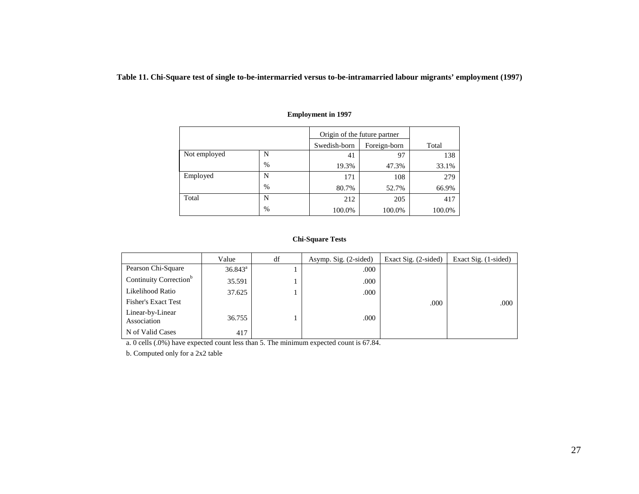**Table 11. Chi-Square test of single to-be-intermarried versus to-be-intramarried labour migrants' employment (1997)**

|              |               | Origin of the future partner |              |        |
|--------------|---------------|------------------------------|--------------|--------|
|              |               | Swedish-born                 | Foreign-born | Total  |
| Not employed | N             | 41                           | 97           | 138    |
|              | $\%$          | 19.3%                        | 47.3%        | 33.1%  |
| Employed     | N             | 171                          | 108          | 279    |
|              | $\frac{0}{0}$ | 80.7%                        | 52.7%        | 66.9%  |
| Total        | N             | 212                          | 205          | 417    |
|              | $\%$          | 100.0%                       | 100.0%       | 100.0% |

#### **Employment in 1997**

#### **Chi-Square Tests**

|                                    | Value            | df | Asymp. Sig. (2-sided) | Exact Sig. (2-sided) | Exact Sig. (1-sided) |
|------------------------------------|------------------|----|-----------------------|----------------------|----------------------|
| Pearson Chi-Square                 | $36.843^{\circ}$ |    | .000                  |                      |                      |
| Continuity Correction <sup>b</sup> | 35.591           |    | .000                  |                      |                      |
| Likelihood Ratio                   | 37.625           |    | .000                  |                      |                      |
| <b>Fisher's Exact Test</b>         |                  |    |                       | .000                 | .000                 |
| Linear-by-Linear<br>Association    | 36.755           |    | .000                  |                      |                      |
| N of Valid Cases                   | 417              |    |                       |                      |                      |

a. 0 cells (.0%) have expected count less than 5. The minimum expected count is 67.84.

b. Computed only for a 2x2 table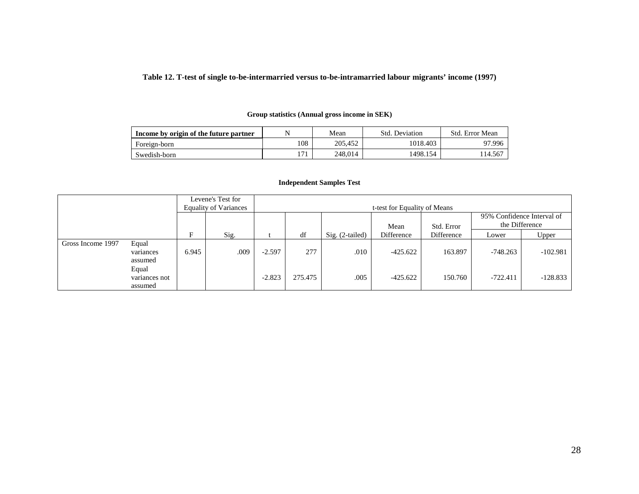#### **Table 12. T-test of single to-be-intermarried versus to-be-intramarried labour migrants' income (1997)**

## **Income by origin of the future partner** N N Mean Std. Deviation Std. Error Mean Foreign-born 108 205,452 1018.403 97.996 Swedish-born 171 248,014 1498.154 114.567

#### **Group statistics (Annual gross income in SEK)**

| Levene's Test for<br><b>Equality of Variances</b> |                                   |       | t-test for Equality of Means |          |         |                 |            |            |                |                            |
|---------------------------------------------------|-----------------------------------|-------|------------------------------|----------|---------|-----------------|------------|------------|----------------|----------------------------|
|                                                   |                                   |       |                              |          |         |                 | Mean       | Std. Error | the Difference | 95% Confidence Interval of |
|                                                   |                                   | E     | Sig.                         |          | df      | Sig. (2-tailed) | Difference | Difference | Lower          | Upper                      |
| Gross Income 1997                                 | Equal<br>variances<br>assumed     | 6.945 | .009                         | $-2.597$ | 277     | .010            | $-425.622$ | 163.897    | $-748.263$     | $-102.981$                 |
|                                                   | Equal<br>variances not<br>assumed |       |                              | $-2.823$ | 275.475 | .005            | $-425.622$ | 150.760    | $-722.411$     | $-128.833$                 |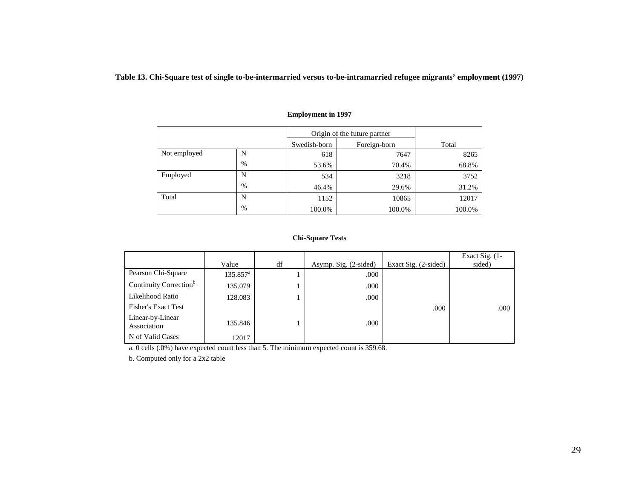**Table 13. Chi-Square test of single to-be-intermarried versus to-be-intramarried refugee migrants' employment (1997)**

|              |      |              | Origin of the future partner |        |  |  |  |
|--------------|------|--------------|------------------------------|--------|--|--|--|
|              |      | Swedish-born | Foreign-born                 | Total  |  |  |  |
| Not employed | N    | 618          | 7647                         | 8265   |  |  |  |
|              | $\%$ | 53.6%        | 70.4%                        | 68.8%  |  |  |  |
| Employed     | N    | 534          | 3218                         | 3752   |  |  |  |
|              | %    | 46.4%        | 29.6%                        | 31.2%  |  |  |  |
| Total        | N    | 1152         | 10865                        | 12017  |  |  |  |
|              | %    | 100.0%       | 100.0%                       | 100.0% |  |  |  |

#### **Employment in 1997**

#### **Chi-Square Tests**

|                                    | Value             | df | Asymp. Sig. (2-sided) | Exact Sig. $(2$ -sided) | Exact Sig. $(1 -$<br>sided) |
|------------------------------------|-------------------|----|-----------------------|-------------------------|-----------------------------|
| Pearson Chi-Square                 | $135.857^{\rm a}$ |    | .000                  |                         |                             |
| Continuity Correction <sup>b</sup> | 135.079           |    | .000                  |                         |                             |
| Likelihood Ratio                   | 128.083           |    | .000                  |                         |                             |
| <b>Fisher's Exact Test</b>         |                   |    |                       | .000                    | .000                        |
| Linear-by-Linear<br>Association    | 135.846           |    | .000.                 |                         |                             |
| N of Valid Cases                   | 12017             |    |                       |                         |                             |

a. 0 cells (.0%) have expected count less than 5. The minimum expected count is 359.68.

b. Computed only for a 2x2 table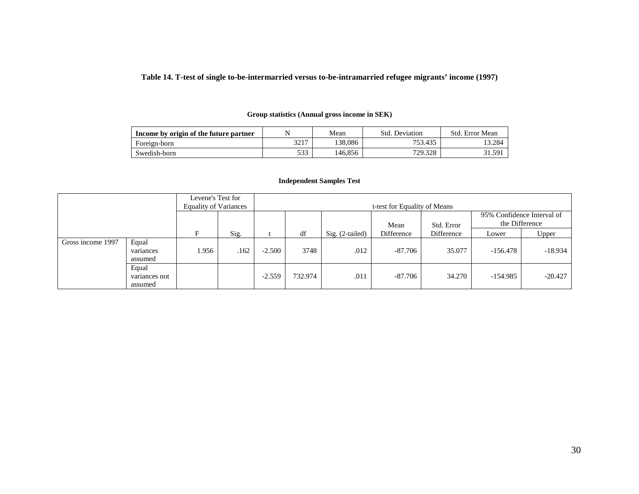#### **Table 14. T-test of single to-be-intermarried versus to-be-intramarried refugee migrants' income (1997)**

#### **Group statistics (Annual gross income in SEK)**

| Income by origin of the future partner |            | Mean    | Deviation<br>Std. | Std. Error Mean |
|----------------------------------------|------------|---------|-------------------|-----------------|
| Foreign-born                           | 2217       | 138.086 | 753.435           | 13.284          |
| Swedish-born                           | 533<br>JJJ | 146.856 | 729.328           | 31.591          |

#### **Independent Samples Test**

|                   |                                   | Levene's Test for<br><b>Equality of Variances</b> |      |          |         |                 | t-test for Equality of Means |            |            |                                              |
|-------------------|-----------------------------------|---------------------------------------------------|------|----------|---------|-----------------|------------------------------|------------|------------|----------------------------------------------|
|                   |                                   |                                                   |      |          |         |                 | Mean                         | Std. Error |            | 95% Confidence Interval of<br>the Difference |
|                   |                                   | F                                                 | Sig. |          | df      | Sig. (2-tailed) | Difference                   | Difference | Lower      | Upper                                        |
| Gross income 1997 | Equal<br>variances<br>assumed     | .956                                              | .162 | $-2.500$ | 3748    | .012            | -87.706                      | 35.077     | $-156.478$ | $-18.934$                                    |
|                   | Equal<br>variances not<br>assumed |                                                   |      | $-2.559$ | 732.974 | .011            | $-87.706$                    | 34.270     | $-154.985$ | $-20.427$                                    |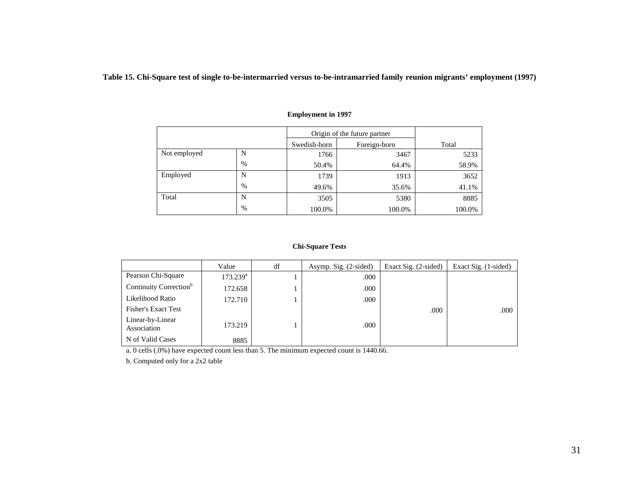**Table 15. Chi-Square test of single to-be-intermarried versus to-be-intramarried family reunion migrants' employment (1997)**

|              |      |              | Origin of the future partner |        |  |  |  |
|--------------|------|--------------|------------------------------|--------|--|--|--|
|              |      | Swedish-born | Foreign-born                 | Total  |  |  |  |
| Not employed | N    | 1766         | 3467                         | 5233   |  |  |  |
|              | $\%$ | 50.4%        | 64.4%                        | 58.9%  |  |  |  |
| Employed     | N    | 1739         | 1913                         | 3652   |  |  |  |
|              | $\%$ | 49.6%        | 35.6%                        | 41.1%  |  |  |  |
| Total        | N    | 3505         | 5380                         | 8885   |  |  |  |
|              | $\%$ | 100.0%       | 100.0%                       | 100.0% |  |  |  |

#### **Employment in 1997**

#### **Chi-Square Tests**

|                                    | Value             | df | Asymp. Sig. (2-sided) | Exact Sig. (2-sided) | Exact Sig. (1-sided) |
|------------------------------------|-------------------|----|-----------------------|----------------------|----------------------|
| Pearson Chi-Square                 | $173.239^{\rm a}$ |    | .000                  |                      |                      |
| Continuity Correction <sup>b</sup> | 172.658           |    | .000                  |                      |                      |
| Likelihood Ratio                   | 172.710           |    | .000                  |                      |                      |
| <b>Fisher's Exact Test</b>         |                   |    |                       | .000                 | .000                 |
| Linear-by-Linear<br>Association    | 173.219           |    | .000                  |                      |                      |
| N of Valid Cases                   | 8885              |    |                       |                      |                      |

a. 0 cells (.0%) have expected count less than 5. The minimum expected count is 1440.66.

b. Computed only for a 2x2 table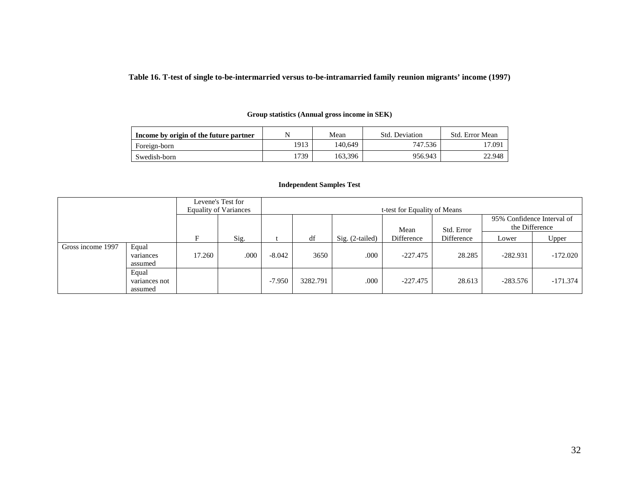**Table 16. T-test of single to-be-intermarried versus to-be-intramarried family reunion migrants' income (1997)**

| Income by origin of the future partner |      | Mean    | Std. Deviation | Std. Error Mean |
|----------------------------------------|------|---------|----------------|-----------------|
| Foreign-born                           | 1913 | 140.649 | 747.536        | 17.091          |
| Swedish-born                           | 1739 | 163.396 | 956.943        | 22.948          |

#### **Group statistics (Annual gross income in SEK)**

#### **Independent Samples Test**

| Levene's Test for<br><b>Equality of Variances</b> |                                   |        |      |          | t-test for Equality of Means |                   |            |            |                                              |            |  |
|---------------------------------------------------|-----------------------------------|--------|------|----------|------------------------------|-------------------|------------|------------|----------------------------------------------|------------|--|
|                                                   |                                   |        |      |          |                              |                   | Mean       | Std. Error | 95% Confidence Interval of<br>the Difference |            |  |
|                                                   |                                   | F      | Sig. |          | df                           | $Sig. (2-tailed)$ | Difference | Difference | Lower                                        | Upper      |  |
| Gross income 1997                                 | Equal<br>variances<br>assumed     | 17.260 | .000 | $-8.042$ | 3650                         | .000              | $-227.475$ | 28.285     | $-282.931$                                   | $-172.020$ |  |
|                                                   | Equal<br>variances not<br>assumed |        |      | $-7.950$ | 3282.791                     | .000              | $-227.475$ | 28.613     | $-283.576$                                   | $-171.374$ |  |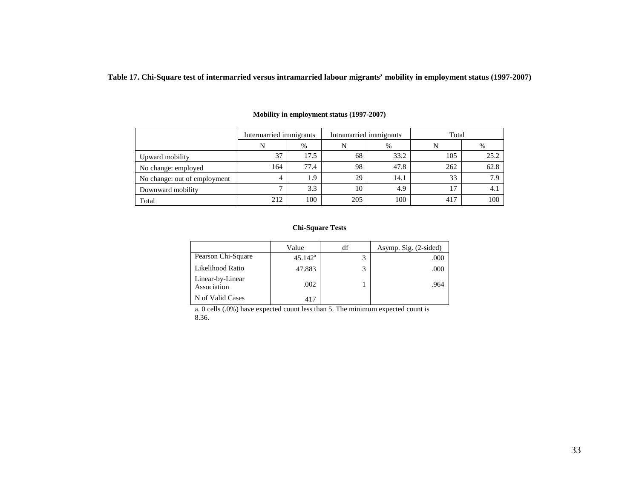**Table 17. Chi-Square test of intermarried versus intramarried labour migrants' mobility in employment status (1997-2007)**

|                              | Intermarried immigrants |      | Intramarried immigrants |      | Total |      |  |
|------------------------------|-------------------------|------|-------------------------|------|-------|------|--|
|                              |                         | $\%$ | N                       | $\%$ |       | %    |  |
| Upward mobility              | 37                      | 17.5 | 68                      | 33.2 | 105   | 25.2 |  |
| No change: employed          | 164                     | 77.4 | 98                      | 47.8 | 262   | 62.8 |  |
| No change: out of employment |                         | 1.9  | 29                      | 14.1 | 33    | 7.9  |  |
| Downward mobility            |                         | 3.3  | 10                      | 4.9  |       | 4. 1 |  |
| Total                        | 212                     | 100  | 205                     | 100  | 417   | 100  |  |

#### **Mobility in employment status (1997-2007)**

#### **Chi-Square Tests**

|                                 | Value            | df | Asymp. Sig. (2-sided) |
|---------------------------------|------------------|----|-----------------------|
| Pearson Chi-Square              | $45.142^{\rm a}$ |    | .000                  |
| Likelihood Ratio                | 47.883           |    | .000                  |
| Linear-by-Linear<br>Association | .002             |    | .964                  |
| N of Valid Cases                | 417              |    |                       |

a. 0 cells (.0%) have expected count less than 5. The minimum expected count is 8.36.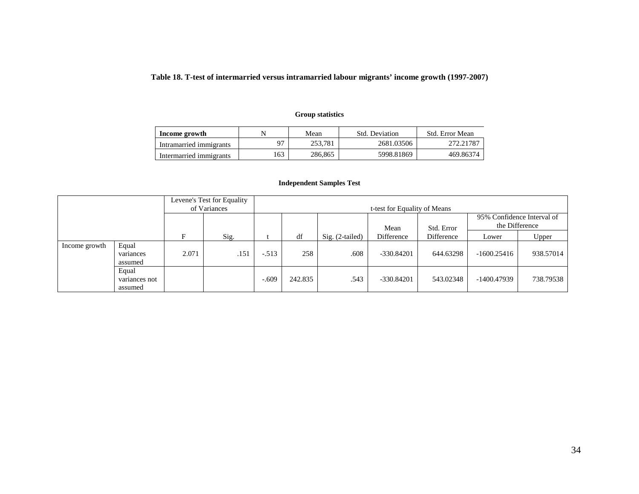## **Table 18. T-test of intermarried versus intramarried labour migrants' income growth (1997-2007)**

## **Group statistics**

| Income growth           |     | Mean    | Std. Deviation | Std. Error Mean |  |
|-------------------------|-----|---------|----------------|-----------------|--|
| Intramarried immigrants | 07  | 253.781 | 2681.03506     | 272.21787       |  |
| Intermarried immigrants | .63 | 286,865 | 5998.81869     | 469.86374       |  |

#### **Independent Samples Test**

| Levene's Test for Equality<br>of Variances |                                   |       |      | t-test for Equality of Means |         |                 |              |            |                |                            |
|--------------------------------------------|-----------------------------------|-------|------|------------------------------|---------|-----------------|--------------|------------|----------------|----------------------------|
|                                            |                                   |       |      |                              |         |                 | Mean         | Std. Error | the Difference | 95% Confidence Interval of |
|                                            |                                   | F     | Sig. |                              | df      | Sig. (2-tailed) | Difference   | Difference | Lower          | Upper                      |
| Income growth                              | Equal<br>variances<br>assumed     | 2.071 | .151 | $-.513$                      | 258     | .608            | $-330.84201$ | 644.63298  | $-1600.25416$  | 938.57014                  |
|                                            | Equal<br>variances not<br>assumed |       |      | $-.609$                      | 242.835 | .543            | $-330.84201$ | 543.02348  | $-1400.47939$  | 738.79538                  |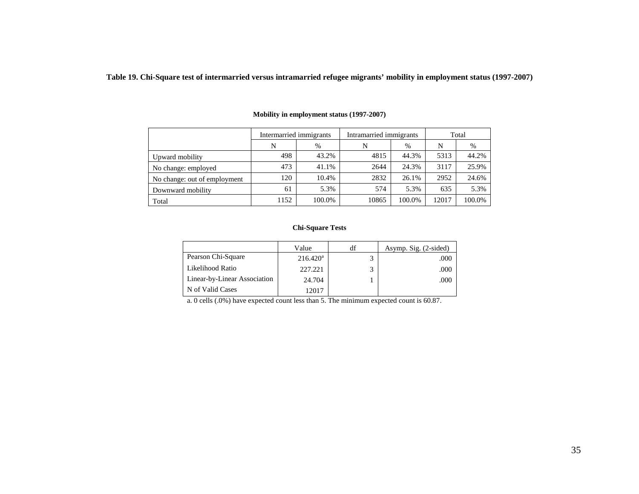**Table 19. Chi-Square test of intermarried versus intramarried refugee migrants' mobility in employment status (1997-2007)**

|                              | Intermarried immigrants |        | Intramarried immigrants |        | Total |        |
|------------------------------|-------------------------|--------|-------------------------|--------|-------|--------|
|                              | N                       | $\%$   | N                       | $\%$   | N     | $\%$   |
| Upward mobility              | 498                     | 43.2%  | 4815                    | 44.3%  | 5313  | 44.2%  |
| No change: employed          | 473                     | 41.1%  | 2644                    | 24.3%  | 3117  | 25.9%  |
| No change: out of employment | 120                     | 10.4%  | 2832                    | 26.1%  | 2952  | 24.6%  |
| Downward mobility            | 61                      | 5.3%   | 574                     | 5.3%   | 635   | 5.3%   |
| Total                        | 1152                    | 100.0% | 10865                   | 100.0% | 12017 | 100.0% |

#### **Mobility in employment status (1997-2007)**

#### **Chi-Square Tests**

|                              | Value       | df | Asymp. Sig. (2-sided) |
|------------------------------|-------------|----|-----------------------|
| Pearson Chi-Square           | $216.420^a$ |    | .000                  |
| Likelihood Ratio             | 227.221     |    | .000                  |
| Linear-by-Linear Association | 24.704      |    | .000                  |
| N of Valid Cases             | 12017       |    |                       |

a. 0 cells (.0%) have expected count less than 5. The minimum expected count is 60.87.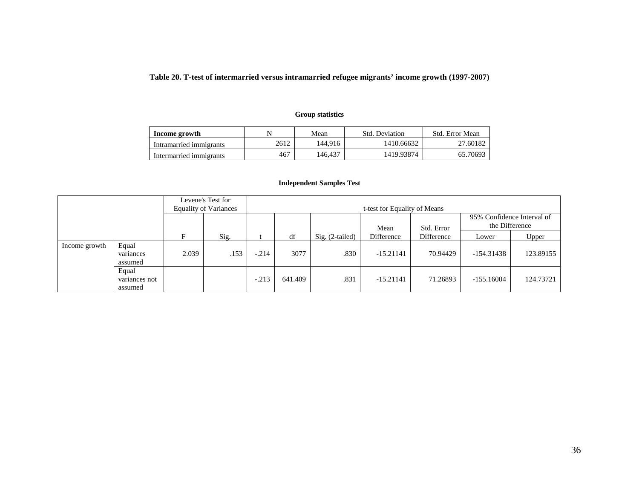## **Table 20. T-test of intermarried versus intramarried refugee migrants' income growth (1997-2007)**

## **Group statistics**

| Income growth           | N    | Mean    | Std. Deviation | Std. Error Mean |
|-------------------------|------|---------|----------------|-----------------|
| Intramarried immigrants | 2612 | 144.916 | 1410.66632     | 27.60182        |
| Intermarried immigrants | 467  | 146.437 | 1419.93874     | 65.70693        |

#### **Independent Samples Test**

| Levene's Test for<br><b>Equality of Variances</b> |                                   |       |      |         |         |                   | t-test for Equality of Means |            |                |                            |
|---------------------------------------------------|-----------------------------------|-------|------|---------|---------|-------------------|------------------------------|------------|----------------|----------------------------|
|                                                   |                                   |       |      |         |         |                   | Mean                         | Std. Error | the Difference | 95% Confidence Interval of |
|                                                   |                                   | E     | Sig. |         | df      | $Sig. (2-tailed)$ | Difference                   | Difference | Lower          | Upper                      |
| Income growth                                     | Equal<br>variances<br>assumed     | 2.039 | .153 | $-.214$ | 3077    | .830              | $-15.21141$                  | 70.94429   | $-154.31438$   | 123.89155                  |
|                                                   | Equal<br>variances not<br>assumed |       |      | $-.213$ | 641.409 | .831              | $-15.21141$                  | 71.26893   | $-155.16004$   | 124.73721                  |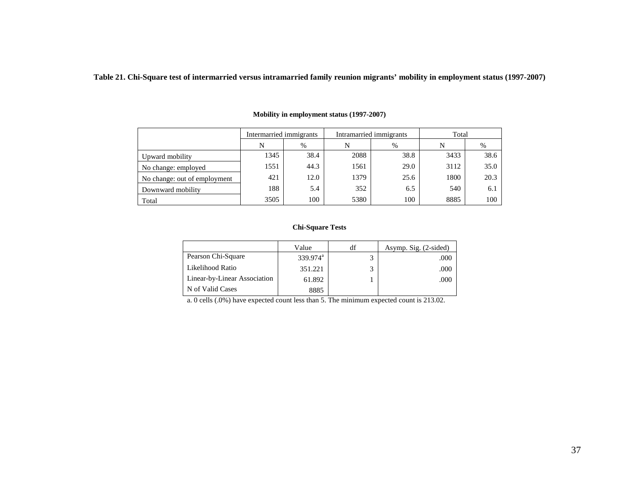**Table 21. Chi-Square test of intermarried versus intramarried family reunion migrants' mobility in employment status (1997-2007)**

|                              | Intermarried immigrants |      |      | Intramarried immigrants | Total |      |  |
|------------------------------|-------------------------|------|------|-------------------------|-------|------|--|
|                              | N                       | %    | N    | $\%$                    | N     | %    |  |
| Upward mobility              | 1345                    | 38.4 | 2088 | 38.8                    | 3433  | 38.6 |  |
| No change: employed          | 1551                    | 44.3 | 1561 | 29.0                    | 3112  | 35.0 |  |
| No change: out of employment | 421                     | 12.0 | 1379 | 25.6                    | 1800  | 20.3 |  |
| Downward mobility            | 188                     | 5.4  | 352  | 6.5                     | 540   | 6.1  |  |
| Total                        | 3505                    | 100  | 5380 | 100                     | 8885  | 100  |  |

#### **Mobility in employment status (1997-2007)**

#### **Chi-Square Tests**

|                              | Value                | df | Asymp. Sig. (2-sided) |
|------------------------------|----------------------|----|-----------------------|
| Pearson Chi-Square           | 339.974 <sup>a</sup> |    | .000                  |
| Likelihood Ratio             | 351.221              |    | .000                  |
| Linear-by-Linear Association | 61.892               |    | .000                  |
| N of Valid Cases             | 8885                 |    |                       |

a. 0 cells (.0%) have expected count less than 5. The minimum expected count is 213.02.